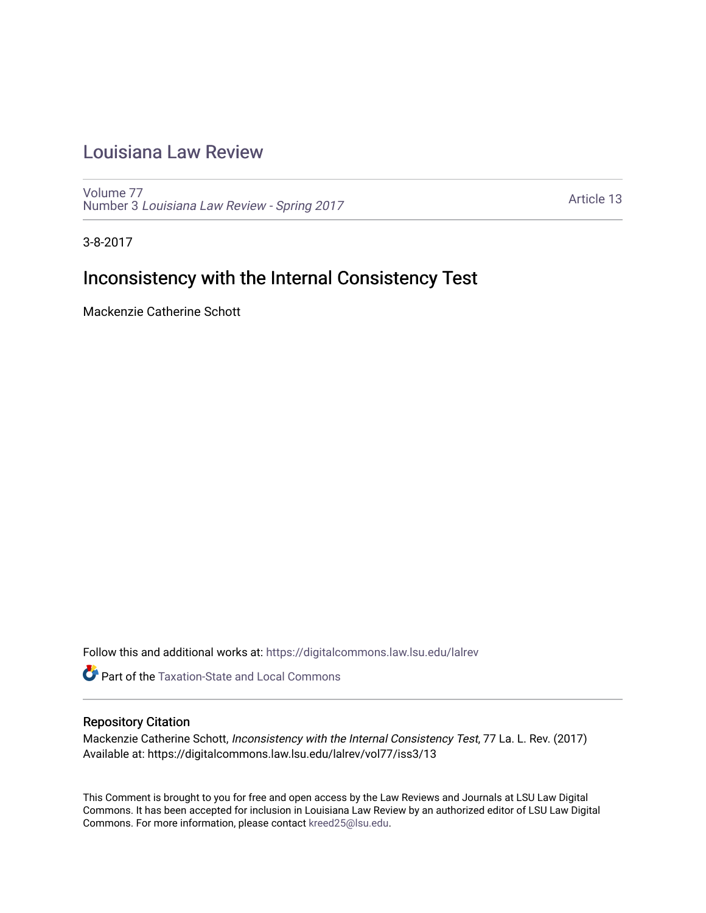# [Louisiana Law Review](https://digitalcommons.law.lsu.edu/lalrev)

[Volume 77](https://digitalcommons.law.lsu.edu/lalrev/vol77) Number 3 [Louisiana Law Review - Spring 2017](https://digitalcommons.law.lsu.edu/lalrev/vol77/iss3) 

[Article 13](https://digitalcommons.law.lsu.edu/lalrev/vol77/iss3/13) 

3-8-2017

# Inconsistency with the Internal Consistency Test

Mackenzie Catherine Schott

Follow this and additional works at: [https://digitalcommons.law.lsu.edu/lalrev](https://digitalcommons.law.lsu.edu/lalrev?utm_source=digitalcommons.law.lsu.edu%2Flalrev%2Fvol77%2Fiss3%2F13&utm_medium=PDF&utm_campaign=PDFCoverPages)

Part of the [Taxation-State and Local Commons](http://network.bepress.com/hgg/discipline/882?utm_source=digitalcommons.law.lsu.edu%2Flalrev%2Fvol77%2Fiss3%2F13&utm_medium=PDF&utm_campaign=PDFCoverPages) 

# Repository Citation

Mackenzie Catherine Schott, Inconsistency with the Internal Consistency Test, 77 La. L. Rev. (2017) Available at: https://digitalcommons.law.lsu.edu/lalrev/vol77/iss3/13

This Comment is brought to you for free and open access by the Law Reviews and Journals at LSU Law Digital Commons. It has been accepted for inclusion in Louisiana Law Review by an authorized editor of LSU Law Digital Commons. For more information, please contact [kreed25@lsu.edu](mailto:kreed25@lsu.edu).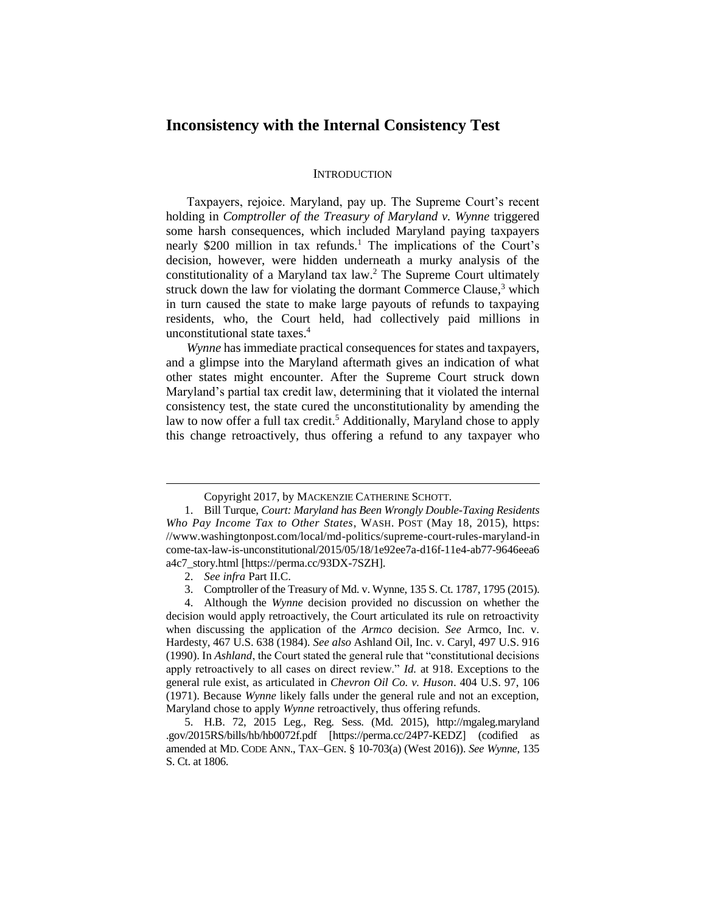# **Inconsistency with the Internal Consistency Test**

#### **INTRODUCTION**

Taxpayers, rejoice. Maryland, pay up. The Supreme Court's recent holding in *Comptroller of the Treasury of Maryland v. Wynne* triggered some harsh consequences, which included Maryland paying taxpayers nearly \$200 million in tax refunds.<sup>1</sup> The implications of the Court's decision, however, were hidden underneath a murky analysis of the constitutionality of a Maryland tax law. <sup>2</sup> The Supreme Court ultimately struck down the law for violating the dormant Commerce Clause, $3$  which in turn caused the state to make large payouts of refunds to taxpaying residents, who, the Court held, had collectively paid millions in unconstitutional state taxes.<sup>4</sup>

*Wynne* has immediate practical consequences for states and taxpayers, and a glimpse into the Maryland aftermath gives an indication of what other states might encounter. After the Supreme Court struck down Maryland's partial tax credit law, determining that it violated the internal consistency test, the state cured the unconstitutionality by amending the law to now offer a full tax credit.<sup>5</sup> Additionally, Maryland chose to apply this change retroactively, thus offering a refund to any taxpayer who

Copyright 2017, by MACKENZIE CATHERINE SCHOTT.

<sup>1.</sup> Bill Turque, *Court: Maryland has Been Wrongly Double-Taxing Residents Who Pay Income Tax to Other States*, WASH. POST (May 18, 2015), https: //www.washingtonpost.com/local/md-politics/supreme-court-rules-maryland-in come-tax-law-is-unconstitutional/2015/05/18/1e92ee7a-d16f-11e4-ab77-9646eea6 a4c7\_story.html [https://perma.cc/93DX-7SZH].

<sup>2.</sup> *See infra* Part II.C.

<sup>3.</sup> Comptroller of the Treasury of Md. v. Wynne, 135 S. Ct. 1787, 1795 (2015).

<sup>4.</sup> Although the *Wynne* decision provided no discussion on whether the decision would apply retroactively, the Court articulated its rule on retroactivity when discussing the application of the *Armco* decision. *See* Armco, Inc. v. Hardesty, 467 U.S. 638 (1984). *See also* Ashland Oil, Inc. v. Caryl, 497 U.S. 916 (1990). In *Ashland*, the Court stated the general rule that "constitutional decisions apply retroactively to all cases on direct review." *Id.* at 918. Exceptions to the general rule exist, as articulated in *Chevron Oil Co. v. Huson*. 404 U.S. 97, 106 (1971). Because *Wynne* likely falls under the general rule and not an exception, Maryland chose to apply *Wynne* retroactively, thus offering refunds.

<sup>5.</sup> H.B. 72, 2015 Leg., Reg. Sess. (Md. 2015), http://mgaleg.maryland .gov/2015RS/bills/hb/hb0072f.pdf [https://perma.cc/24P7-KEDZ] (codified as amended at MD. CODE ANN., TAX–GEN. § 10-703(a) (West 2016)). *See Wynne*, 135 S. Ct. at 1806.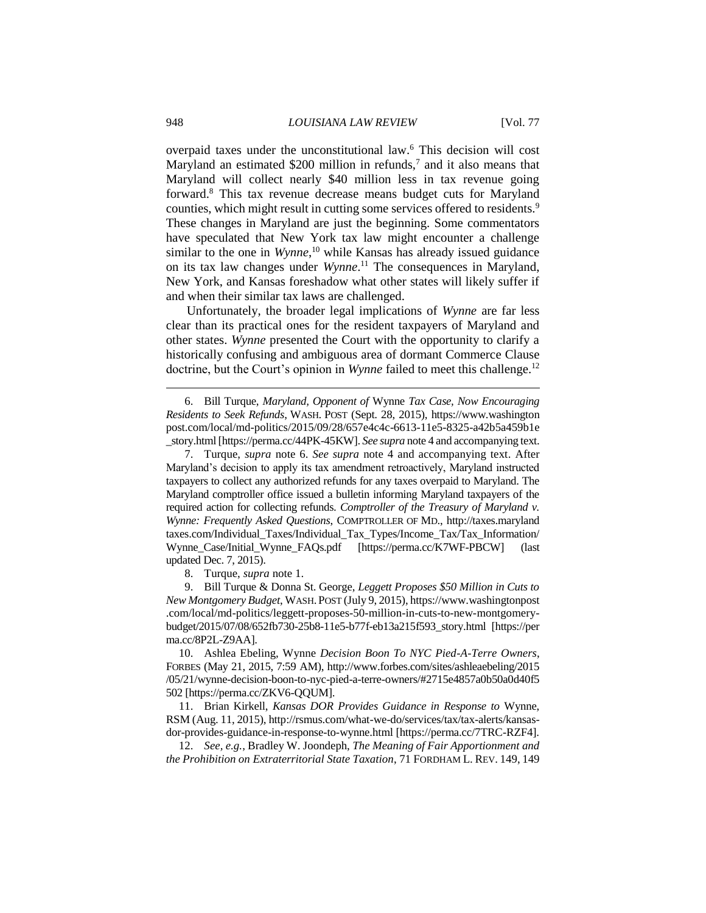overpaid taxes under the unconstitutional law.<sup>6</sup> This decision will cost Maryland an estimated \$200 million in refunds,<sup>7</sup> and it also means that Maryland will collect nearly \$40 million less in tax revenue going forward.<sup>8</sup> This tax revenue decrease means budget cuts for Maryland counties, which might result in cutting some services offered to residents.<sup>9</sup> These changes in Maryland are just the beginning. Some commentators have speculated that New York tax law might encounter a challenge similar to the one in *Wynne*, <sup>10</sup> while Kansas has already issued guidance on its tax law changes under *Wynne*. <sup>11</sup> The consequences in Maryland, New York, and Kansas foreshadow what other states will likely suffer if and when their similar tax laws are challenged.

Unfortunately, the broader legal implications of *Wynne* are far less clear than its practical ones for the resident taxpayers of Maryland and other states. *Wynne* presented the Court with the opportunity to clarify a historically confusing and ambiguous area of dormant Commerce Clause doctrine, but the Court's opinion in *Wynne* failed to meet this challenge.<sup>12</sup>

6. Bill Turque, *Maryland, Opponent of* Wynne *Tax Case, Now Encouraging Residents to Seek Refunds*, WASH. POST (Sept. 28, 2015), https://www.washington post.com/local/md-politics/2015/09/28/657e4c4c-6613-11e5-8325-a42b5a459b1e \_story.html [https://perma.cc/44PK-45KW]. *See supra* note 4 and accompanying text.

7. Turque, *supra* note 6. *See supra* note 4 and accompanying text. After Maryland's decision to apply its tax amendment retroactively, Maryland instructed taxpayers to collect any authorized refunds for any taxes overpaid to Maryland. The Maryland comptroller office issued a bulletin informing Maryland taxpayers of the required action for collecting refunds. *Comptroller of the Treasury of Maryland v. Wynne: Frequently Asked Questions*, COMPTROLLER OF MD., http://taxes.maryland taxes.com/Individual\_Taxes/Individual\_Tax\_Types/Income\_Tax/Tax\_Information/ Wynne Case/Initial Wynne FAQs.pdf [https://perma.cc/K7WF-PBCW] (last updated Dec. 7, 2015).

8. Turque, *supra* note 1.

9. Bill Turque & Donna St. George, *Leggett Proposes \$50 Million in Cuts to New Montgomery Budget*, WASH.POST (July 9, 2015), https://www.washingtonpost .com/local/md-politics/leggett-proposes-50-million-in-cuts-to-new-montgomerybudget/2015/07/08/652fb730-25b8-11e5-b77f-eb13a215f593\_story.html [https://per ma.cc/8P2L-Z9AA].

10. Ashlea Ebeling, Wynne *Decision Boon To NYC Pied-A-Terre Owners*, FORBES (May 21, 2015, 7:59 AM), http://www.forbes.com/sites/ashleaebeling/2015 /05/21/wynne-decision-boon-to-nyc-pied-a-terre-owners/#2715e4857a0b50a0d40f5 502 [https://perma.cc/ZKV6-QQUM].

11. Brian Kirkell, *Kansas DOR Provides Guidance in Response to* Wynne, RSM (Aug. 11, 2015), http://rsmus.com/what-we-do/services/tax/tax-alerts/kansasdor-provides-guidance-in-response-to-wynne.html [https://perma.cc/7TRC-RZF4].

12. *See, e.g.*, Bradley W. Joondeph, *The Meaning of Fair Apportionment and the Prohibition on Extraterritorial State Taxation*, 71 FORDHAM L. REV. 149, 149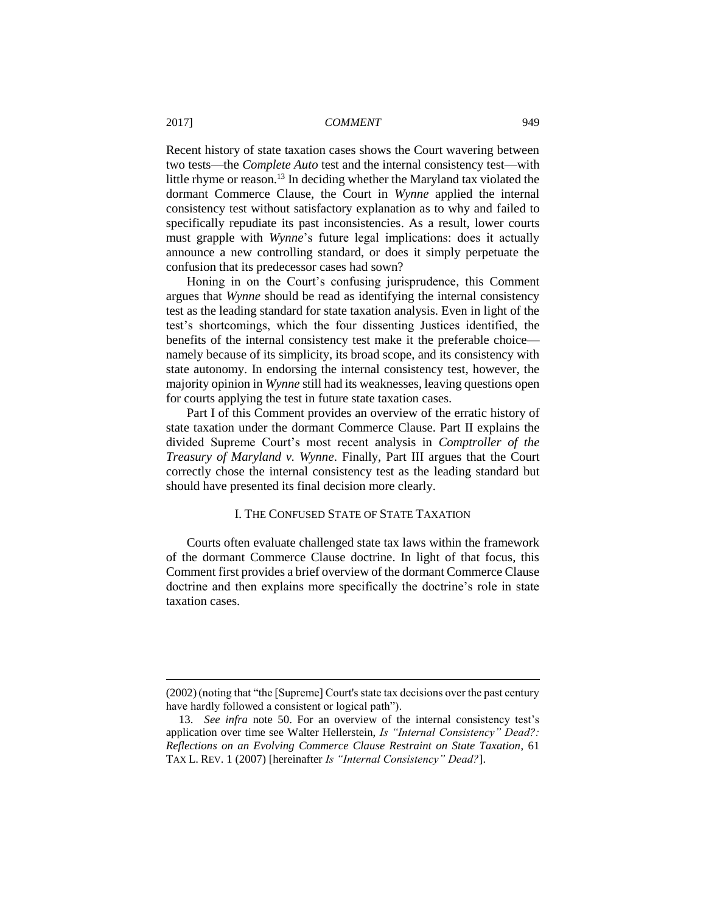Recent history of state taxation cases shows the Court wavering between two tests—the *Complete Auto* test and the internal consistency test—with little rhyme or reason.<sup>13</sup> In deciding whether the Maryland tax violated the dormant Commerce Clause, the Court in *Wynne* applied the internal consistency test without satisfactory explanation as to why and failed to specifically repudiate its past inconsistencies. As a result, lower courts must grapple with *Wynne*'s future legal implications: does it actually announce a new controlling standard, or does it simply perpetuate the confusion that its predecessor cases had sown?

Honing in on the Court's confusing jurisprudence, this Comment argues that *Wynne* should be read as identifying the internal consistency test as the leading standard for state taxation analysis. Even in light of the test's shortcomings, which the four dissenting Justices identified, the benefits of the internal consistency test make it the preferable choice namely because of its simplicity, its broad scope, and its consistency with state autonomy. In endorsing the internal consistency test, however, the majority opinion in *Wynne* still had its weaknesses, leaving questions open for courts applying the test in future state taxation cases.

Part I of this Comment provides an overview of the erratic history of state taxation under the dormant Commerce Clause. Part II explains the divided Supreme Court's most recent analysis in *Comptroller of the Treasury of Maryland v. Wynne*. Finally, Part III argues that the Court correctly chose the internal consistency test as the leading standard but should have presented its final decision more clearly.

## I. THE CONFUSED STATE OF STATE TAXATION

Courts often evaluate challenged state tax laws within the framework of the dormant Commerce Clause doctrine. In light of that focus, this Comment first provides a brief overview of the dormant Commerce Clause doctrine and then explains more specifically the doctrine's role in state taxation cases.

<sup>(2002)(</sup>noting that "the [Supreme] Court's state tax decisions over the past century have hardly followed a consistent or logical path").

<sup>13.</sup> *See infra* note 50. For an overview of the internal consistency test's application over time see Walter Hellerstein, *Is "Internal Consistency" Dead?: Reflections on an Evolving Commerce Clause Restraint on State Taxation*, 61 TAX L. REV. 1 (2007) [hereinafter *Is "Internal Consistency" Dead?*].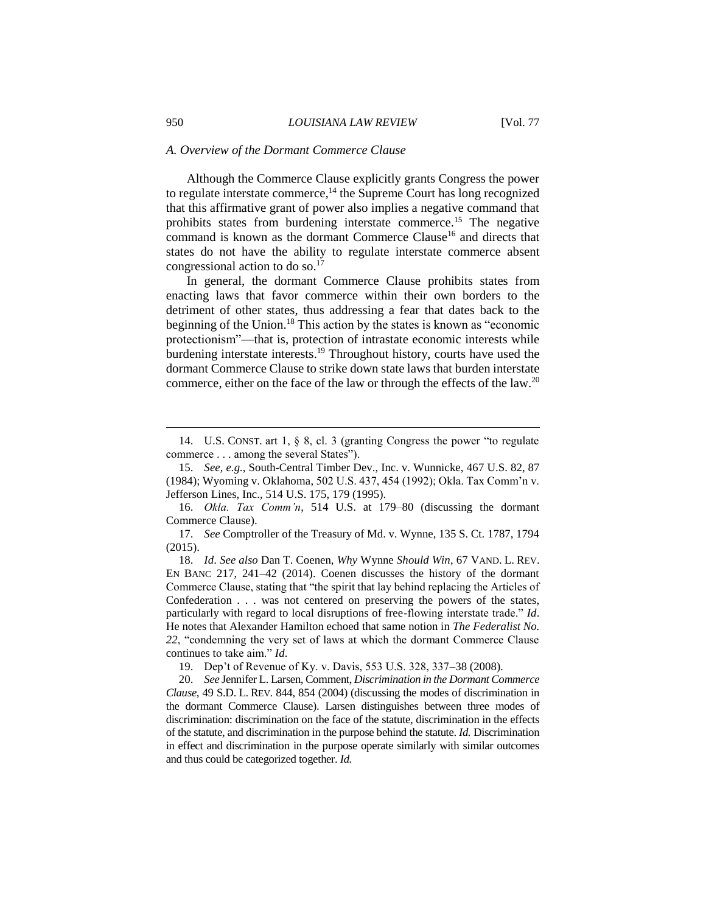#### *A. Overview of the Dormant Commerce Clause*

Although the Commerce Clause explicitly grants Congress the power to regulate interstate commerce, $^{14}$  the Supreme Court has long recognized that this affirmative grant of power also implies a negative command that prohibits states from burdening interstate commerce.<sup>15</sup> The negative command is known as the dormant Commerce Clause<sup>16</sup> and directs that states do not have the ability to regulate interstate commerce absent congressional action to do so. 17

In general, the dormant Commerce Clause prohibits states from enacting laws that favor commerce within their own borders to the detriment of other states, thus addressing a fear that dates back to the beginning of the Union.<sup>18</sup> This action by the states is known as "economic protectionism"—that is, protection of intrastate economic interests while burdening interstate interests. <sup>19</sup> Throughout history, courts have used the dormant Commerce Clause to strike down state laws that burden interstate commerce, either on the face of the law or through the effects of the law.<sup>20</sup>

<sup>14.</sup> U.S. CONST. art 1, § 8, cl. 3 (granting Congress the power "to regulate commerce . . . among the several States").

<sup>15.</sup> *See, e.g.*, South-Central Timber Dev., Inc. v. Wunnicke, 467 U.S. 82, 87 (1984); Wyoming v. Oklahoma, 502 U.S. 437, 454 (1992); Okla. Tax Comm'n v. Jefferson Lines, Inc., 514 U.S. 175, 179 (1995).

<sup>16.</sup> *Okla. Tax Comm'n*, 514 U.S. at 179–80 (discussing the dormant Commerce Clause).

<sup>17.</sup> *See* Comptroller of the Treasury of Md. v. Wynne, 135 S. Ct. 1787, 1794 (2015).

<sup>18.</sup> *Id*. *See also* Dan T. Coenen, *Why* Wynne *Should Win*, 67 VAND. L. REV. EN BANC 217, 241–42 (2014). Coenen discusses the history of the dormant Commerce Clause, stating that "the spirit that lay behind replacing the Articles of Confederation . . . was not centered on preserving the powers of the states, particularly with regard to local disruptions of free-flowing interstate trade." *Id*. He notes that Alexander Hamilton echoed that same notion in *The Federalist No. 22*, "condemning the very set of laws at which the dormant Commerce Clause continues to take aim." *Id*.

<sup>19.</sup> Dep't of Revenue of Ky. v. Davis, 553 U.S. 328, 337–38 (2008)*.*

<sup>20.</sup> *See* Jennifer L. Larsen, Comment, *Discrimination in the Dormant Commerce Clause*, 49 S.D. L. REV. 844, 854 (2004) (discussing the modes of discrimination in the dormant Commerce Clause). Larsen distinguishes between three modes of discrimination: discrimination on the face of the statute, discrimination in the effects of the statute, and discrimination in the purpose behind the statute. *Id.* Discrimination in effect and discrimination in the purpose operate similarly with similar outcomes and thus could be categorized together. *Id.*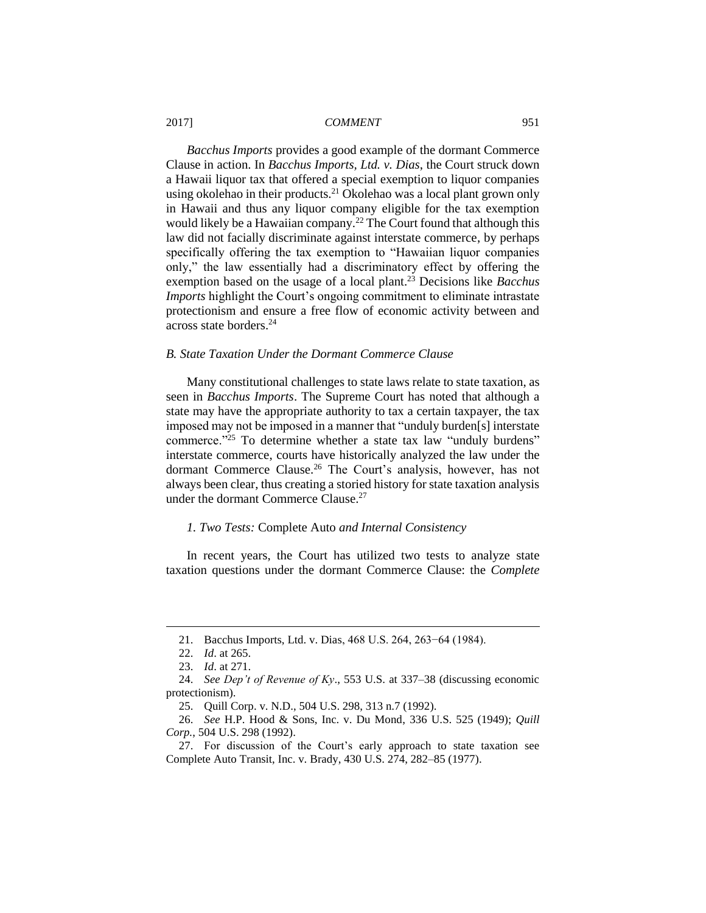*Bacchus Imports* provides a good example of the dormant Commerce Clause in action. In *Bacchus Imports, Ltd. v. Dias*, the Court struck down a Hawaii liquor tax that offered a special exemption to liquor companies using okolehao in their products.<sup>21</sup> Okolehao was a local plant grown only in Hawaii and thus any liquor company eligible for the tax exemption would likely be a Hawaiian company.<sup>22</sup> The Court found that although this law did not facially discriminate against interstate commerce, by perhaps specifically offering the tax exemption to "Hawaiian liquor companies only," the law essentially had a discriminatory effect by offering the exemption based on the usage of a local plant.<sup>23</sup> Decisions like *Bacchus Imports* highlight the Court's ongoing commitment to eliminate intrastate protectionism and ensure a free flow of economic activity between and across state borders.<sup>24</sup>

## *B. State Taxation Under the Dormant Commerce Clause*

Many constitutional challenges to state laws relate to state taxation, as seen in *Bacchus Imports*. The Supreme Court has noted that although a state may have the appropriate authority to tax a certain taxpayer, the tax imposed may not be imposed in a manner that "unduly burden[s] interstate commerce."<sup>25</sup> To determine whether a state tax law "unduly burdens" interstate commerce, courts have historically analyzed the law under the dormant Commerce Clause.<sup>26</sup> The Court's analysis, however, has not always been clear, thus creating a storied history for state taxation analysis under the dormant Commerce Clause.<sup>27</sup>

## *1. Two Tests:* Complete Auto *and Internal Consistency*

In recent years, the Court has utilized two tests to analyze state taxation questions under the dormant Commerce Clause: the *Complete* 

<sup>21.</sup> Bacchus Imports, Ltd. v. Dias, 468 U.S. 264, 263−64 (1984).

<sup>22.</sup> *Id*. at 265.

<sup>23.</sup> *Id*. at 271.

<sup>24.</sup> *See Dep't of Revenue of Ky*., 553 U.S. at 337–38 (discussing economic protectionism).

<sup>25.</sup> Quill Corp. v. N.D., 504 U.S. 298, 313 n.7 (1992).

<sup>26.</sup> *See* H.P. Hood & Sons, Inc. v. Du Mond, 336 U.S. 525 (1949); *Quill Corp.*, 504 U.S. 298 (1992).

<sup>27.</sup> For discussion of the Court's early approach to state taxation see Complete Auto Transit, Inc. v. Brady, 430 U.S. 274, 282–85 (1977).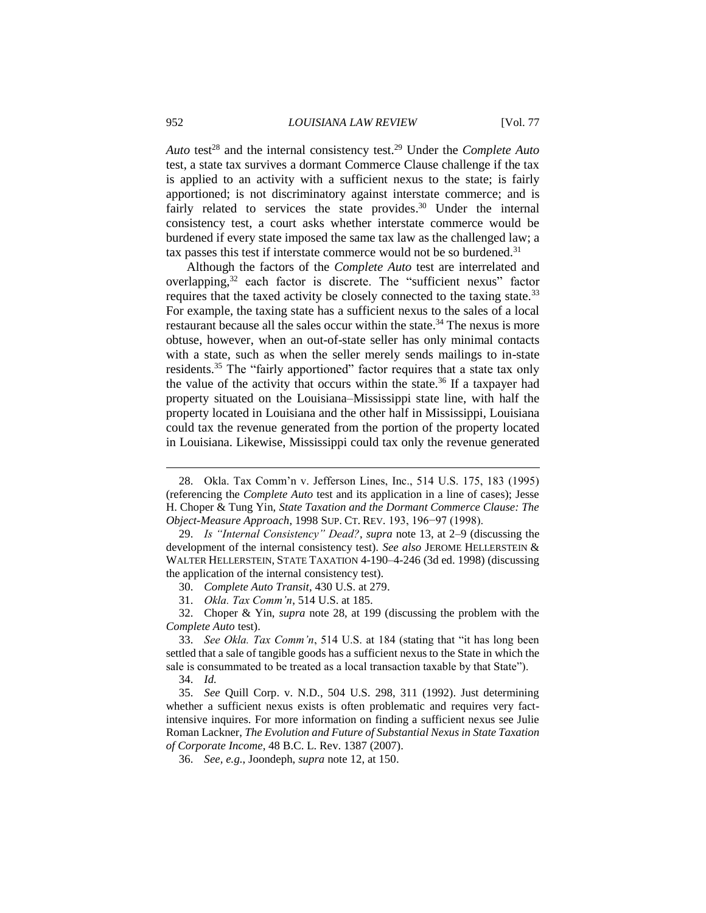Auto test<sup>28</sup> and the internal consistency test.<sup>29</sup> Under the *Complete Auto* test, a state tax survives a dormant Commerce Clause challenge if the tax is applied to an activity with a sufficient nexus to the state; is fairly apportioned; is not discriminatory against interstate commerce; and is fairly related to services the state provides.<sup>30</sup> Under the internal consistency test, a court asks whether interstate commerce would be burdened if every state imposed the same tax law as the challenged law; a tax passes this test if interstate commerce would not be so burdened.<sup>31</sup>

Although the factors of the *Complete Auto* test are interrelated and overlapping,<sup>32</sup> each factor is discrete. The "sufficient nexus" factor requires that the taxed activity be closely connected to the taxing state.<sup>33</sup> For example, the taxing state has a sufficient nexus to the sales of a local restaurant because all the sales occur within the state.<sup>34</sup> The nexus is more obtuse, however, when an out-of-state seller has only minimal contacts with a state, such as when the seller merely sends mailings to in-state residents.<sup>35</sup> The "fairly apportioned" factor requires that a state tax only the value of the activity that occurs within the state.<sup>36</sup> If a taxpayer had property situated on the Louisiana–Mississippi state line, with half the property located in Louisiana and the other half in Mississippi, Louisiana could tax the revenue generated from the portion of the property located in Louisiana. Likewise, Mississippi could tax only the revenue generated

<sup>28.</sup> Okla. Tax Comm'n v. Jefferson Lines, Inc., 514 U.S. 175, 183 (1995) (referencing the *Complete Auto* test and its application in a line of cases); Jesse H. Choper & Tung Yin, *State Taxation and the Dormant Commerce Clause: The Object-Measure Approach*, 1998 SUP. CT. REV. 193, 196−97 (1998).

<sup>29.</sup> *Is "Internal Consistency" Dead?*, *supra* note 13, at 2–9 (discussing the development of the internal consistency test). *See also* JEROME HELLERSTEIN & WALTER HELLERSTEIN, STATE TAXATION 4-190–4-246 (3d ed. 1998) (discussing the application of the internal consistency test).

<sup>30.</sup> *Complete Auto Transit*, 430 U.S. at 279.

<sup>31.</sup> *Okla. Tax Comm'n*, 514 U.S. at 185.

<sup>32.</sup> Choper & Yin, *supra* note 28, at 199 (discussing the problem with the *Complete Auto* test).

<sup>33.</sup> *See Okla. Tax Comm'n*, 514 U.S. at 184 (stating that "it has long been settled that a sale of tangible goods has a sufficient nexus to the State in which the sale is consummated to be treated as a local transaction taxable by that State").

<sup>34.</sup> *Id.*

<sup>35.</sup> *See* Quill Corp. v. N.D., 504 U.S. 298, 311 (1992). Just determining whether a sufficient nexus exists is often problematic and requires very factintensive inquires. For more information on finding a sufficient nexus see Julie Roman Lackner, *The Evolution and Future of Substantial Nexus in State Taxation of Corporate Income*, 48 B.C. L. Rev. 1387 (2007).

<sup>36.</sup> *See, e.g.*, Joondeph, *supra* note 12, at 150.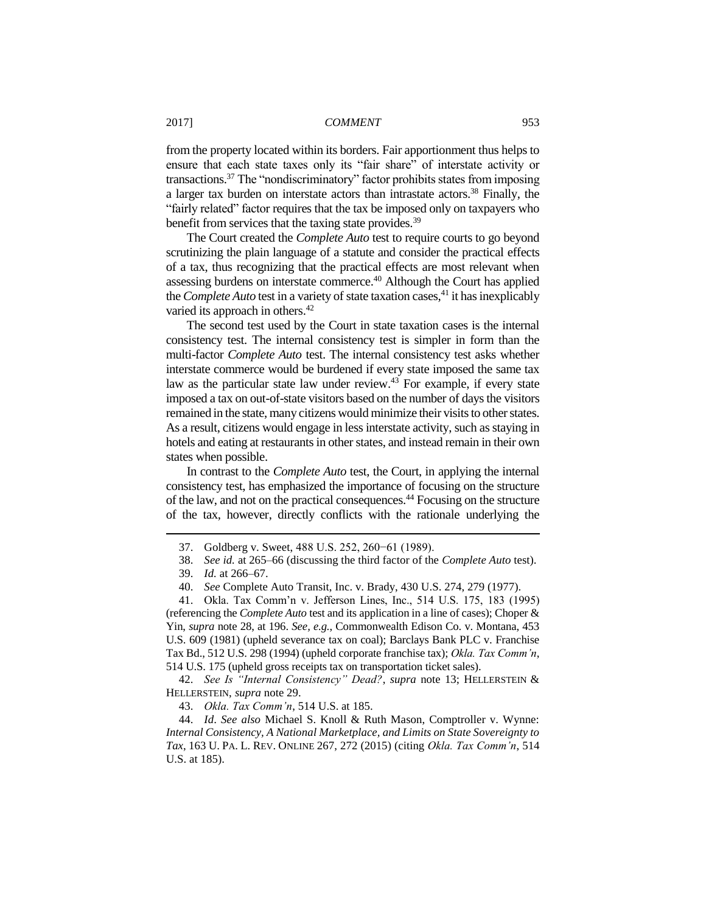from the property located within its borders. Fair apportionment thus helps to ensure that each state taxes only its "fair share" of interstate activity or transactions.<sup>37</sup> The "nondiscriminatory" factor prohibits states from imposing a larger tax burden on interstate actors than intrastate actors.<sup>38</sup> Finally, the "fairly related" factor requires that the tax be imposed only on taxpayers who benefit from services that the taxing state provides.<sup>39</sup>

The Court created the *Complete Auto* test to require courts to go beyond scrutinizing the plain language of a statute and consider the practical effects of a tax, thus recognizing that the practical effects are most relevant when assessing burdens on interstate commerce.<sup>40</sup> Although the Court has applied the *Complete Auto* test in a variety of state taxation cases,<sup>41</sup> it has inexplicably varied its approach in others.<sup>42</sup>

The second test used by the Court in state taxation cases is the internal consistency test. The internal consistency test is simpler in form than the multi-factor *Complete Auto* test. The internal consistency test asks whether interstate commerce would be burdened if every state imposed the same tax law as the particular state law under review.<sup>43</sup> For example, if every state imposed a tax on out-of-state visitors based on the number of days the visitors remained in the state, many citizens would minimize their visits to other states. As a result, citizens would engage in less interstate activity, such as staying in hotels and eating at restaurants in other states, and instead remain in their own states when possible.

In contrast to the *Complete Auto* test, the Court, in applying the internal consistency test, has emphasized the importance of focusing on the structure of the law, and not on the practical consequences.<sup>44</sup> Focusing on the structure of the tax, however, directly conflicts with the rationale underlying the

 $\overline{a}$ 

41. Okla. Tax Comm'n v. Jefferson Lines, Inc., 514 U.S. 175, 183 (1995) (referencing the *Complete Auto* test and its application in a line of cases); Choper & Yin, *supra* note 28, at 196. *See, e.g.*, Commonwealth Edison Co. v. Montana, 453 U.S. 609 (1981) (upheld severance tax on coal); Barclays Bank PLC v. Franchise Tax Bd., 512 U.S. 298 (1994) (upheld corporate franchise tax); *Okla. Tax Comm'n*, 514 U.S. 175 (upheld gross receipts tax on transportation ticket sales).

42. *See Is "Internal Consistency" Dead?*, *supra* note 13; HELLERSTEIN & HELLERSTEIN, *supra* note 29.

43. *Okla. Tax Comm'n*, 514 U.S. at 185.

44. *Id*. *See also* Michael S. Knoll & Ruth Mason, Comptroller v. Wynne: *Internal Consistency, A National Marketplace, and Limits on State Sovereignty to Tax*, 163 U. PA. L. REV. ONLINE 267, 272 (2015) (citing *Okla. Tax Comm'n*, 514 U.S. at 185).

<sup>37.</sup> Goldberg v. Sweet, 488 U.S. 252, 260−61 (1989).

<sup>38.</sup> *See id.* at 265–66 (discussing the third factor of the *Complete Auto* test).

<sup>39.</sup> *Id.* at 266–67.

<sup>40.</sup> *See* Complete Auto Transit, Inc. v. Brady, 430 U.S. 274, 279 (1977).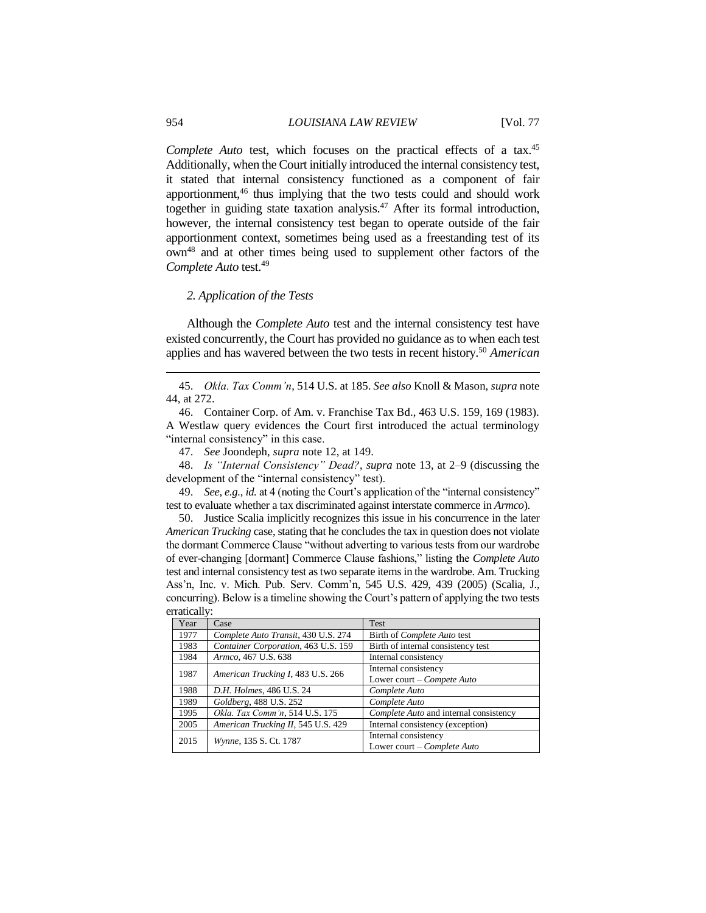Complete Auto test, which focuses on the practical effects of a tax.<sup>45</sup> Additionally, when the Court initially introduced the internal consistency test, it stated that internal consistency functioned as a component of fair apportionment, <sup>46</sup> thus implying that the two tests could and should work together in guiding state taxation analysis.<sup>47</sup> After its formal introduction, however, the internal consistency test began to operate outside of the fair apportionment context, sometimes being used as a freestanding test of its own<sup>48</sup> and at other times being used to supplement other factors of the *Complete Auto* test.<sup>49</sup>

#### *2. Application of the Tests*

Although the *Complete Auto* test and the internal consistency test have existed concurrently, the Court has provided no guidance as to when each test applies and has wavered between the two tests in recent history.<sup>50</sup> *American* 

47. *See* Joondeph, *supra* note 12, at 149.

48. *Is "Internal Consistency" Dead?*, *supra* note 13, at 2–9 (discussing the development of the "internal consistency" test).

49. *See, e.g.*, *id.* at 4 (noting the Court's application of the "internal consistency" test to evaluate whether a tax discriminated against interstate commerce in *Armco*).

50. Justice Scalia implicitly recognizes this issue in his concurrence in the later *American Trucking* case, stating that he concludes the tax in question does not violate the dormant Commerce Clause "without adverting to various tests from our wardrobe of ever-changing [dormant] Commerce Clause fashions," listing the *Complete Auto* test and internal consistency test as two separate items in the wardrobe. Am. Trucking Ass'n, Inc. v. Mich. Pub. Serv. Comm'n, 545 U.S. 429, 439 (2005) (Scalia, J., concurring). Below is a timeline showing the Court's pattern of applying the two tests erratically:

| .    |                                     |                                        |
|------|-------------------------------------|----------------------------------------|
| Year | Case                                | Test                                   |
| 1977 | Complete Auto Transit, 430 U.S. 274 | Birth of <i>Complete Auto</i> test     |
| 1983 | Container Corporation, 463 U.S. 159 | Birth of internal consistency test     |
| 1984 | Armco, 467 U.S. 638                 | Internal consistency                   |
| 1987 | American Trucking I, 483 U.S. 266   | Internal consistency                   |
|      |                                     | Lower court – Compete Auto             |
| 1988 | D.H. Holmes, 486 U.S. 24            | Complete Auto                          |
| 1989 | Goldberg, 488 U.S. 252              | Complete Auto                          |
| 1995 | Okla. Tax Comm'n, 514 U.S. 175      | Complete Auto and internal consistency |
| 2005 | American Trucking II, 545 U.S. 429  | Internal consistency (exception)       |
| 2015 | Wynne, 135 S. Ct. 1787              | Internal consistency                   |
|      |                                     | Lower court – Complete Auto            |

<sup>45.</sup> *Okla. Tax Comm'n*, 514 U.S. at 185. *See also* Knoll & Mason, *supra* note 44, at 272.

<sup>46.</sup> Container Corp. of Am. v. Franchise Tax Bd., 463 U.S. 159, 169 (1983). A Westlaw query evidences the Court first introduced the actual terminology "internal consistency" in this case.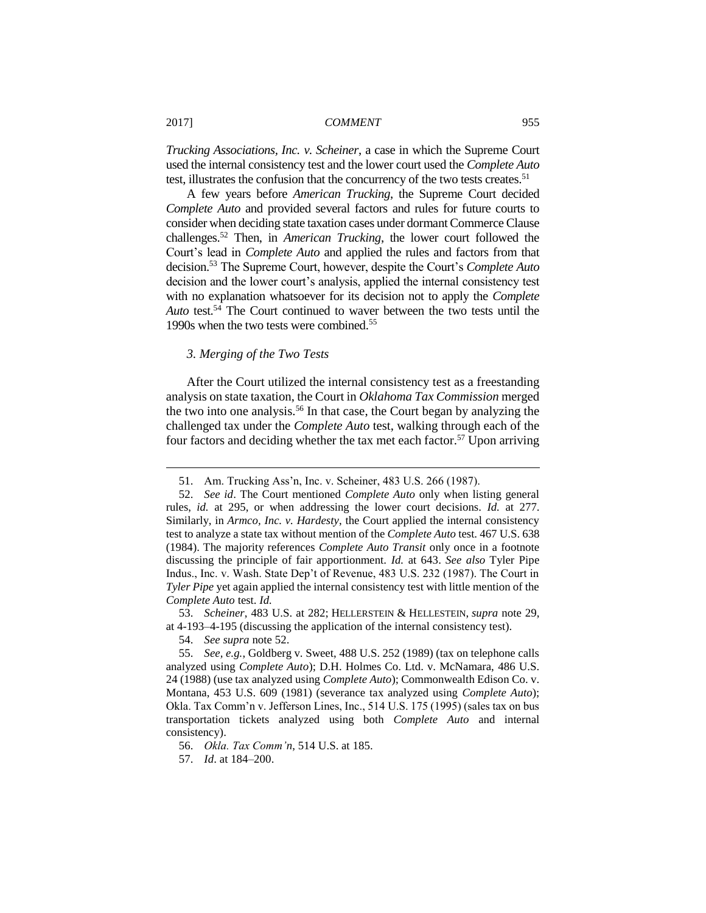*Trucking Associations, Inc. v. Scheiner*, a case in which the Supreme Court used the internal consistency test and the lower court used the *Complete Auto*  test, illustrates the confusion that the concurrency of the two tests creates.<sup>51</sup>

A few years before *American Trucking*, the Supreme Court decided *Complete Auto* and provided several factors and rules for future courts to consider when deciding state taxation cases under dormant Commerce Clause challenges.<sup>52</sup> Then, in *American Trucking*, the lower court followed the Court's lead in *Complete Auto* and applied the rules and factors from that decision.<sup>53</sup> The Supreme Court, however, despite the Court's *Complete Auto* decision and the lower court's analysis, applied the internal consistency test with no explanation whatsoever for its decision not to apply the *Complete Auto* test.<sup>54</sup> The Court continued to waver between the two tests until the 1990s when the two tests were combined. 55

## *3. Merging of the Two Tests*

After the Court utilized the internal consistency test as a freestanding analysis on state taxation, the Court in *Oklahoma Tax Commission* merged the two into one analysis.<sup>56</sup> In that case, the Court began by analyzing the challenged tax under the *Complete Auto* test, walking through each of the four factors and deciding whether the tax met each factor.<sup>57</sup> Upon arriving

54. *See supra* note 52.

<sup>51.</sup> Am. Trucking Ass'n, Inc. v. Scheiner, 483 U.S. 266 (1987).

<sup>52.</sup> *See id*. The Court mentioned *Complete Auto* only when listing general rules, *id.* at 295, or when addressing the lower court decisions. *Id.* at 277. Similarly, in *Armco, Inc. v. Hardesty*, the Court applied the internal consistency test to analyze a state tax without mention of the *Complete Auto* test. 467 U.S. 638 (1984). The majority references *Complete Auto Transit* only once in a footnote discussing the principle of fair apportionment. *Id.* at 643. *See also* Tyler Pipe Indus., Inc. v. Wash. State Dep't of Revenue, 483 U.S. 232 (1987). The Court in *Tyler Pipe* yet again applied the internal consistency test with little mention of the *Complete Auto* test. *Id.*

<sup>53.</sup> *Scheiner*, 483 U.S. at 282; HELLERSTEIN & HELLESTEIN, *supra* note 29, at 4-193–4-195 (discussing the application of the internal consistency test).

<sup>55.</sup> *See, e.g.*, Goldberg v. Sweet, 488 U.S. 252 (1989) (tax on telephone calls analyzed using *Complete Auto*); D.H. Holmes Co. Ltd. v. McNamara, 486 U.S. 24 (1988) (use tax analyzed using *Complete Auto*); Commonwealth Edison Co. v. Montana, 453 U.S. 609 (1981) (severance tax analyzed using *Complete Auto*); Okla. Tax Comm'n v. Jefferson Lines, Inc., 514 U.S. 175 (1995) (sales tax on bus transportation tickets analyzed using both *Complete Auto* and internal consistency).

<sup>56.</sup> *Okla. Tax Comm'n*, 514 U.S. at 185.

<sup>57.</sup> *Id*. at 184–200.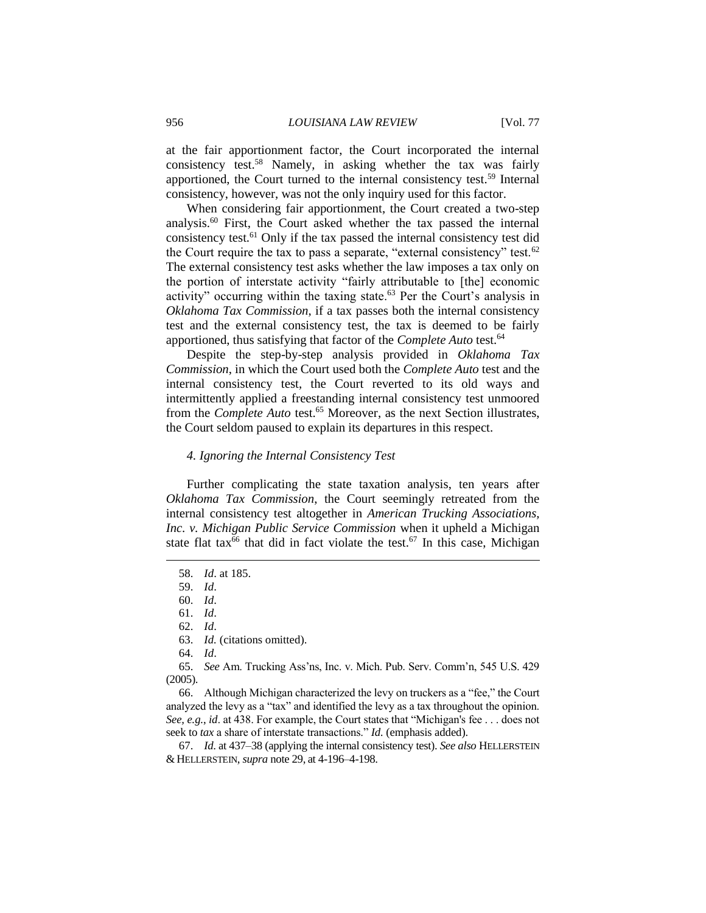at the fair apportionment factor, the Court incorporated the internal consistency test.<sup>58</sup> Namely, in asking whether the tax was fairly apportioned, the Court turned to the internal consistency test.<sup>59</sup> Internal consistency, however, was not the only inquiry used for this factor.

When considering fair apportionment, the Court created a two-step analysis.<sup>60</sup> First, the Court asked whether the tax passed the internal consistency test.<sup>61</sup> Only if the tax passed the internal consistency test did the Court require the tax to pass a separate, "external consistency" test.<sup>62</sup> The external consistency test asks whether the law imposes a tax only on the portion of interstate activity "fairly attributable to [the] economic activity" occurring within the taxing state. $63$  Per the Court's analysis in *Oklahoma Tax Commission*, if a tax passes both the internal consistency test and the external consistency test, the tax is deemed to be fairly apportioned, thus satisfying that factor of the *Complete Auto* test.<sup>64</sup>

Despite the step-by-step analysis provided in *Oklahoma Tax Commission*, in which the Court used both the *Complete Auto* test and the internal consistency test, the Court reverted to its old ways and intermittently applied a freestanding internal consistency test unmoored from the *Complete Auto* test.<sup>65</sup> Moreover, as the next Section illustrates, the Court seldom paused to explain its departures in this respect.

## *4. Ignoring the Internal Consistency Test*

Further complicating the state taxation analysis, ten years after *Oklahoma Tax Commission*, the Court seemingly retreated from the internal consistency test altogether in *American Trucking Associations, Inc. v. Michigan Public Service Commission* when it upheld a Michigan state flat tax<sup>66</sup> that did in fact violate the test.<sup>67</sup> In this case, Michigan

 $\overline{a}$ 

66. Although Michigan characterized the levy on truckers as a "fee," the Court analyzed the levy as a "tax" and identified the levy as a tax throughout the opinion. *See, e.g.*, *id*. at 438. For example, the Court states that "Michigan's fee . . . does not seek to *tax* a share of interstate transactions." *Id.* (emphasis added).

67. *Id*. at 437–38 (applying the internal consistency test). *See also* HELLERSTEIN & HELLERSTEIN, *supra* note 29, at 4-196–4-198.

<sup>58.</sup> *Id*. at 185.

<sup>59.</sup> *Id*.

<sup>60.</sup> *Id*.

<sup>61.</sup> *Id*.

<sup>62.</sup> *Id*.

<sup>63.</sup> *Id.* (citations omitted).

<sup>64.</sup> *Id*.

<sup>65.</sup> *See* Am. Trucking Ass'ns, Inc. v. Mich. Pub. Serv. Comm'n, 545 U.S. 429 (2005).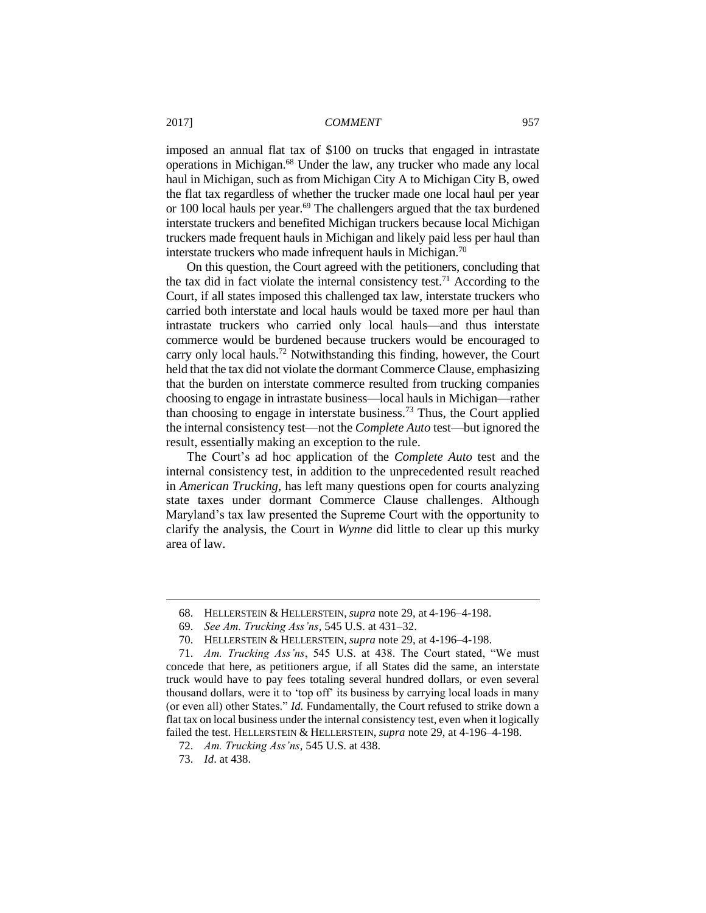imposed an annual flat tax of \$100 on trucks that engaged in intrastate operations in Michigan.<sup>68</sup> Under the law, any trucker who made any local haul in Michigan, such as from Michigan City A to Michigan City B, owed the flat tax regardless of whether the trucker made one local haul per year or 100 local hauls per year.<sup>69</sup> The challengers argued that the tax burdened interstate truckers and benefited Michigan truckers because local Michigan truckers made frequent hauls in Michigan and likely paid less per haul than interstate truckers who made infrequent hauls in Michigan.<sup>70</sup>

On this question, the Court agreed with the petitioners, concluding that the tax did in fact violate the internal consistency test.<sup>71</sup> According to the Court, if all states imposed this challenged tax law, interstate truckers who carried both interstate and local hauls would be taxed more per haul than intrastate truckers who carried only local hauls—and thus interstate commerce would be burdened because truckers would be encouraged to carry only local hauls.<sup>72</sup> Notwithstanding this finding, however, the Court held that the tax did not violate the dormant Commerce Clause, emphasizing that the burden on interstate commerce resulted from trucking companies choosing to engage in intrastate business—local hauls in Michigan—rather than choosing to engage in interstate business.<sup>73</sup> Thus, the Court applied the internal consistency test—not the *Complete Auto* test—but ignored the result, essentially making an exception to the rule.

The Court's ad hoc application of the *Complete Auto* test and the internal consistency test, in addition to the unprecedented result reached in *American Trucking*, has left many questions open for courts analyzing state taxes under dormant Commerce Clause challenges. Although Maryland's tax law presented the Supreme Court with the opportunity to clarify the analysis, the Court in *Wynne* did little to clear up this murky area of law.

<sup>68.</sup> HELLERSTEIN & HELLERSTEIN, *supra* note 29, at 4-196–4-198.

<sup>69.</sup> *See Am. Trucking Ass'ns*, 545 U.S. at 431–32.

<sup>70.</sup> HELLERSTEIN & HELLERSTEIN, *supra* note 29, at 4-196–4-198.

<sup>71.</sup> *Am. Trucking Ass'ns*, 545 U.S. at 438. The Court stated, "We must concede that here, as petitioners argue, if all States did the same, an interstate truck would have to pay fees totaling several hundred dollars, or even several thousand dollars, were it to 'top off' its business by carrying local loads in many (or even all) other States." *Id.* Fundamentally, the Court refused to strike down a flat tax on local business under the internal consistency test, even when it logically failed the test. HELLERSTEIN & HELLERSTEIN, *supra* note 29, at 4-196–4-198.

<sup>72.</sup> *Am. Trucking Ass'ns*, 545 U.S. at 438.

<sup>73.</sup> *Id*. at 438.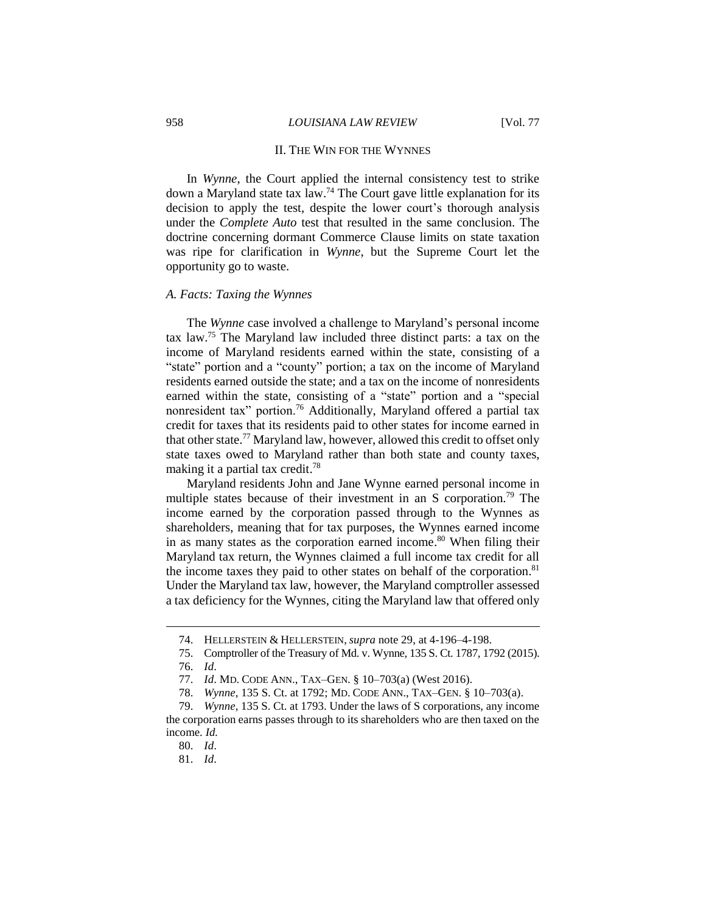#### II. THE WIN FOR THE WYNNES

In *Wynne*, the Court applied the internal consistency test to strike down a Maryland state tax law.<sup>74</sup> The Court gave little explanation for its decision to apply the test, despite the lower court's thorough analysis under the *Complete Auto* test that resulted in the same conclusion. The doctrine concerning dormant Commerce Clause limits on state taxation was ripe for clarification in *Wynne*, but the Supreme Court let the opportunity go to waste.

#### *A. Facts: Taxing the Wynnes*

The *Wynne* case involved a challenge to Maryland's personal income tax law.<sup>75</sup> The Maryland law included three distinct parts: a tax on the income of Maryland residents earned within the state, consisting of a "state" portion and a "county" portion; a tax on the income of Maryland residents earned outside the state; and a tax on the income of nonresidents earned within the state, consisting of a "state" portion and a "special nonresident tax" portion.<sup>76</sup> Additionally, Maryland offered a partial tax credit for taxes that its residents paid to other states for income earned in that other state.<sup>77</sup> Maryland law, however, allowed this credit to offset only state taxes owed to Maryland rather than both state and county taxes, making it a partial tax credit.<sup>78</sup>

Maryland residents John and Jane Wynne earned personal income in multiple states because of their investment in an S corporation.<sup>79</sup> The income earned by the corporation passed through to the Wynnes as shareholders, meaning that for tax purposes, the Wynnes earned income in as many states as the corporation earned income. <sup>80</sup> When filing their Maryland tax return, the Wynnes claimed a full income tax credit for all the income taxes they paid to other states on behalf of the corporation.<sup>81</sup> Under the Maryland tax law, however, the Maryland comptroller assessed a tax deficiency for the Wynnes, citing the Maryland law that offered only

<sup>74.</sup> HELLERSTEIN & HELLERSTEIN, *supra* note 29, at 4-196–4-198.

<sup>75.</sup> Comptroller of the Treasury of Md. v. Wynne, 135 S. Ct. 1787, 1792 (2015).

<sup>76.</sup> *Id*.

<sup>77.</sup> *Id*. MD. CODE ANN., TAX–GEN. § 10–703(a) (West 2016).

<sup>78.</sup> *Wynne*, 135 S. Ct. at 1792; MD. CODE ANN., TAX–GEN. § 10–703(a).

<sup>79.</sup> *Wynne*, 135 S. Ct. at 1793. Under the laws of S corporations, any income the corporation earns passes through to its shareholders who are then taxed on the income. *Id.*

<sup>80.</sup> *Id*.

<sup>81.</sup> *Id*.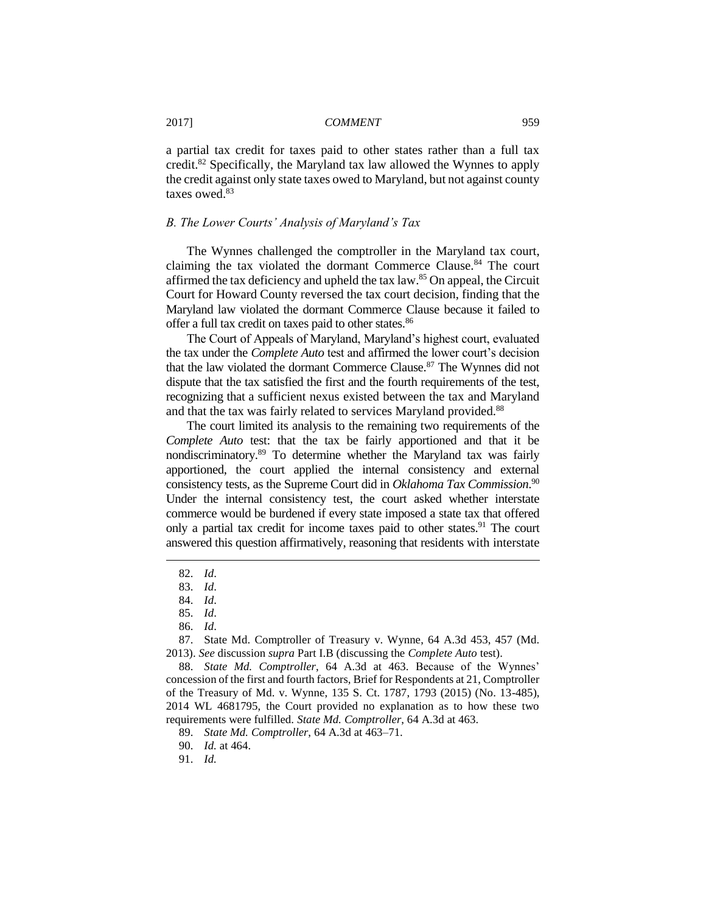a partial tax credit for taxes paid to other states rather than a full tax credit.<sup>82</sup> Specifically, the Maryland tax law allowed the Wynnes to apply the credit against only state taxes owed to Maryland, but not against county taxes owed.<sup>83</sup>

## *B. The Lower Courts' Analysis of Maryland's Tax*

The Wynnes challenged the comptroller in the Maryland tax court, claiming the tax violated the dormant Commerce Clause.<sup>84</sup> The court affirmed the tax deficiency and upheld the tax law.<sup>85</sup> On appeal, the Circuit Court for Howard County reversed the tax court decision, finding that the Maryland law violated the dormant Commerce Clause because it failed to offer a full tax credit on taxes paid to other states.<sup>86</sup>

The Court of Appeals of Maryland, Maryland's highest court, evaluated the tax under the *Complete Auto* test and affirmed the lower court's decision that the law violated the dormant Commerce Clause.<sup>87</sup> The Wynnes did not dispute that the tax satisfied the first and the fourth requirements of the test, recognizing that a sufficient nexus existed between the tax and Maryland and that the tax was fairly related to services Maryland provided.<sup>88</sup>

The court limited its analysis to the remaining two requirements of the *Complete Auto* test: that the tax be fairly apportioned and that it be nondiscriminatory.<sup>89</sup> To determine whether the Maryland tax was fairly apportioned, the court applied the internal consistency and external consistency tests, as the Supreme Court did in *Oklahoma Tax Commission*. 90 Under the internal consistency test, the court asked whether interstate commerce would be burdened if every state imposed a state tax that offered only a partial tax credit for income taxes paid to other states.<sup>91</sup> The court answered this question affirmatively, reasoning that residents with interstate

<sup>82.</sup> *Id*.

<sup>83.</sup> *Id*.

<sup>84.</sup> *Id*.

<sup>85.</sup> *Id*.

<sup>86.</sup> *Id*.

<sup>87.</sup> State Md. Comptroller of Treasury v. Wynne, 64 A.3d 453, 457 (Md. 2013). *See* discussion *supra* Part I.B (discussing the *Complete Auto* test).

<sup>88.</sup> *State Md. Comptroller*, 64 A.3d at 463. Because of the Wynnes' concession of the first and fourth factors, Brief for Respondents at 21, Comptroller of the Treasury of Md. v. Wynne, 135 S. Ct. 1787, 1793 (2015) (No. 13-485), 2014 WL 4681795, the Court provided no explanation as to how these two requirements were fulfilled. *State Md. Comptroller*, 64 A.3d at 463.

<sup>89.</sup> *State Md. Comptroller*, 64 A.3d at 463–71.

<sup>90.</sup> *Id.* at 464.

<sup>91.</sup> *Id.*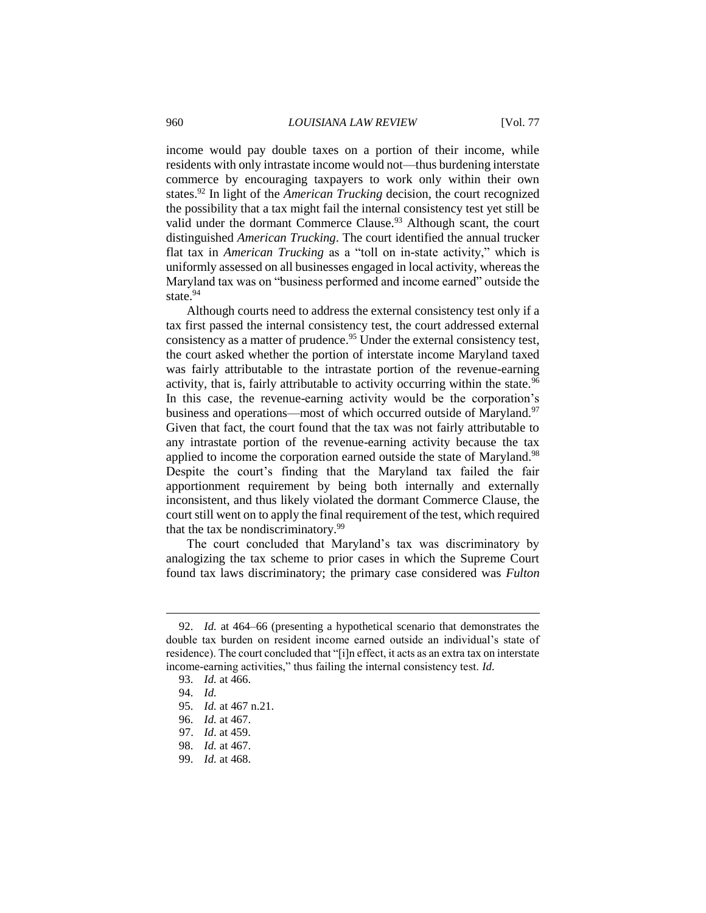income would pay double taxes on a portion of their income, while residents with only intrastate income would not—thus burdening interstate commerce by encouraging taxpayers to work only within their own states.<sup>92</sup> In light of the *American Trucking* decision, the court recognized the possibility that a tax might fail the internal consistency test yet still be valid under the dormant Commerce Clause.<sup>93</sup> Although scant, the court distinguished *American Trucking*. The court identified the annual trucker flat tax in *American Trucking* as a "toll on in-state activity," which is uniformly assessed on all businesses engaged in local activity, whereas the Maryland tax was on "business performed and income earned" outside the state<sup>94</sup>

Although courts need to address the external consistency test only if a tax first passed the internal consistency test, the court addressed external consistency as a matter of prudence.<sup>95</sup> Under the external consistency test, the court asked whether the portion of interstate income Maryland taxed was fairly attributable to the intrastate portion of the revenue-earning activity, that is, fairly attributable to activity occurring within the state.<sup>96</sup> In this case, the revenue-earning activity would be the corporation's business and operations—most of which occurred outside of Maryland.<sup>97</sup> Given that fact, the court found that the tax was not fairly attributable to any intrastate portion of the revenue-earning activity because the tax applied to income the corporation earned outside the state of Maryland.<sup>98</sup> Despite the court's finding that the Maryland tax failed the fair apportionment requirement by being both internally and externally inconsistent, and thus likely violated the dormant Commerce Clause, the court still went on to apply the final requirement of the test, which required that the tax be nondiscriminatory. $99$ 

The court concluded that Maryland's tax was discriminatory by analogizing the tax scheme to prior cases in which the Supreme Court found tax laws discriminatory; the primary case considered was *Fulton* 

<sup>92.</sup> *Id.* at 464–66 (presenting a hypothetical scenario that demonstrates the double tax burden on resident income earned outside an individual's state of residence). The court concluded that "[i]n effect, it acts as an extra tax on interstate income-earning activities," thus failing the internal consistency test. *Id.*

<sup>93.</sup> *Id.* at 466.

<sup>94.</sup> *Id.*

<sup>95.</sup> *Id.* at 467 n.21.

<sup>96.</sup> *Id.* at 467.

<sup>97.</sup> *Id*. at 459.

<sup>98.</sup> *Id.* at 467.

<sup>99.</sup> *Id.* at 468.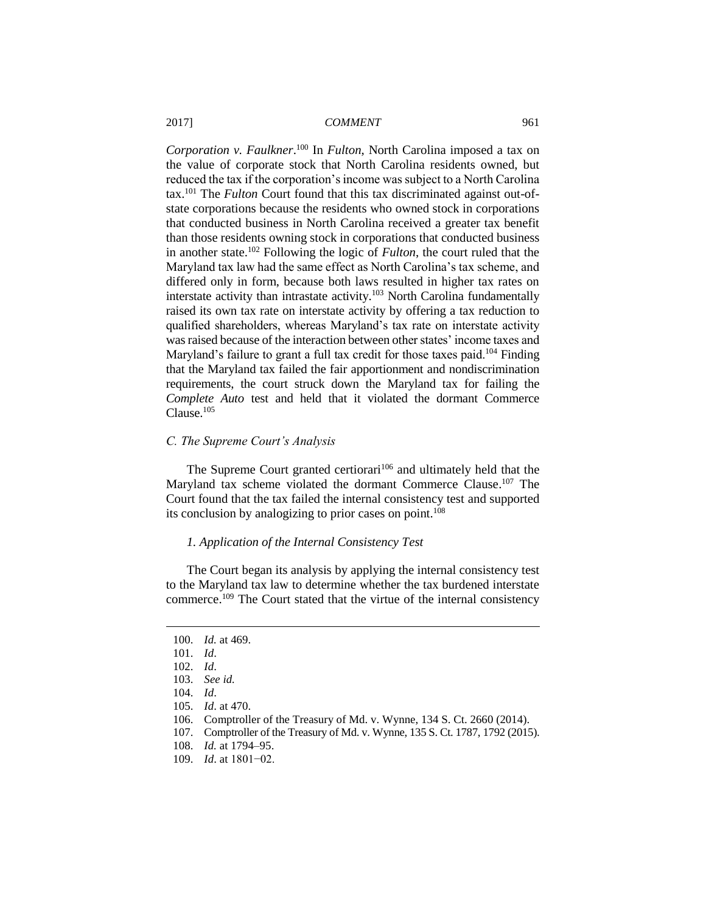*Corporation v. Faulkner*. <sup>100</sup> In *Fulton*, North Carolina imposed a tax on the value of corporate stock that North Carolina residents owned, but reduced the tax if the corporation's income was subject to a North Carolina tax.<sup>101</sup> The *Fulton* Court found that this tax discriminated against out-ofstate corporations because the residents who owned stock in corporations that conducted business in North Carolina received a greater tax benefit than those residents owning stock in corporations that conducted business in another state.<sup>102</sup> Following the logic of *Fulton*, the court ruled that the Maryland tax law had the same effect as North Carolina's tax scheme, and differed only in form, because both laws resulted in higher tax rates on interstate activity than intrastate activity.<sup>103</sup> North Carolina fundamentally raised its own tax rate on interstate activity by offering a tax reduction to qualified shareholders, whereas Maryland's tax rate on interstate activity was raised because of the interaction between other states' income taxes and Maryland's failure to grant a full tax credit for those taxes paid.<sup>104</sup> Finding that the Maryland tax failed the fair apportionment and nondiscrimination requirements, the court struck down the Maryland tax for failing the *Complete Auto* test and held that it violated the dormant Commerce Clause.<sup>105</sup>

#### *C. The Supreme Court's Analysis*

The Supreme Court granted certiorari<sup>106</sup> and ultimately held that the Maryland tax scheme violated the dormant Commerce Clause.<sup>107</sup> The Court found that the tax failed the internal consistency test and supported its conclusion by analogizing to prior cases on point.<sup>108</sup>

## *1. Application of the Internal Consistency Test*

The Court began its analysis by applying the internal consistency test to the Maryland tax law to determine whether the tax burdened interstate commerce.<sup>109</sup> The Court stated that the virtue of the internal consistency

<sup>100.</sup> *Id.* at 469.

<sup>101.</sup> *Id*.

<sup>102.</sup> *Id*.

<sup>103.</sup> *See id.*

<sup>104.</sup> *Id*.

<sup>105.</sup> *Id*. at 470.

<sup>106.</sup> Comptroller of the Treasury of Md. v. Wynne, 134 S. Ct. 2660 (2014).

<sup>107.</sup> Comptroller of the Treasury of Md. v. Wynne, 135 S. Ct. 1787, 1792 (2015).

<sup>108.</sup> *Id.* at 1794–95.

<sup>109.</sup> *Id*. at 1801−02.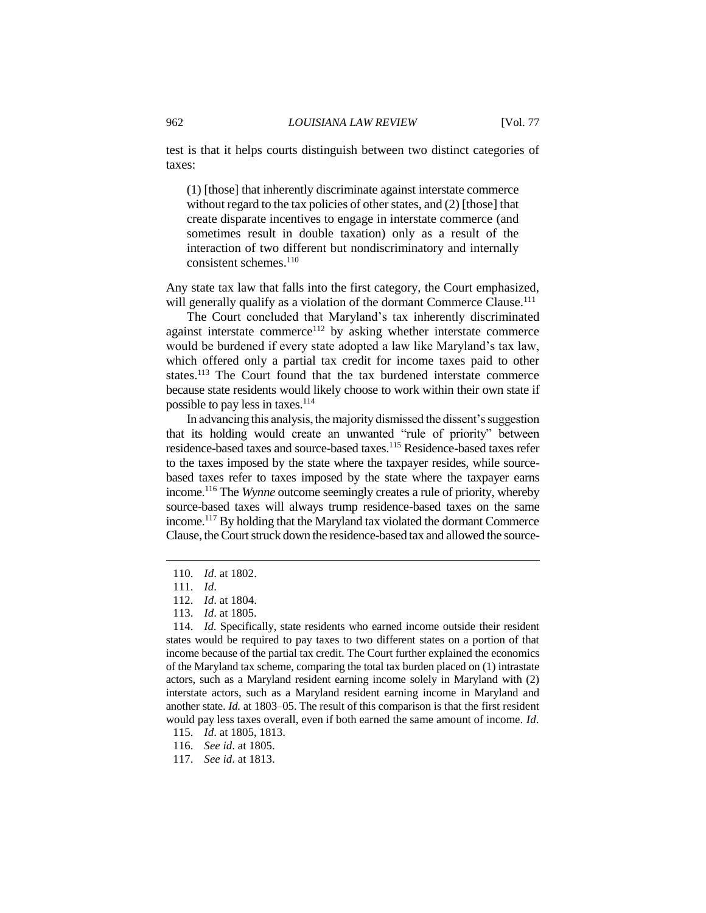test is that it helps courts distinguish between two distinct categories of taxes:

(1) [those] that inherently discriminate against interstate commerce without regard to the tax policies of other states, and (2) [those] that create disparate incentives to engage in interstate commerce (and sometimes result in double taxation) only as a result of the interaction of two different but nondiscriminatory and internally consistent schemes.<sup>110</sup>

Any state tax law that falls into the first category, the Court emphasized, will generally qualify as a violation of the dormant Commerce Clause.<sup>111</sup>

The Court concluded that Maryland's tax inherently discriminated against interstate commerce<sup>112</sup> by asking whether interstate commerce would be burdened if every state adopted a law like Maryland's tax law, which offered only a partial tax credit for income taxes paid to other states.<sup>113</sup> The Court found that the tax burdened interstate commerce because state residents would likely choose to work within their own state if possible to pay less in taxes.<sup>114</sup>

In advancing this analysis, the majority dismissed the dissent's suggestion that its holding would create an unwanted "rule of priority" between residence-based taxes and source-based taxes.<sup>115</sup> Residence-based taxes refer to the taxes imposed by the state where the taxpayer resides, while sourcebased taxes refer to taxes imposed by the state where the taxpayer earns income.<sup>116</sup> The *Wynne* outcome seemingly creates a rule of priority, whereby source-based taxes will always trump residence-based taxes on the same income.<sup>117</sup> By holding that the Maryland tax violated the dormant Commerce Clause, the Court struck down the residence-based tax and allowed the source-

<sup>110.</sup> *Id*. at 1802.

<sup>111.</sup> *Id*.

<sup>112.</sup> *Id*. at 1804.

<sup>113.</sup> *Id*. at 1805.

<sup>114.</sup> *Id*. Specifically, state residents who earned income outside their resident states would be required to pay taxes to two different states on a portion of that income because of the partial tax credit. The Court further explained the economics of the Maryland tax scheme, comparing the total tax burden placed on (1) intrastate actors, such as a Maryland resident earning income solely in Maryland with (2) interstate actors, such as a Maryland resident earning income in Maryland and another state. *Id.* at 1803–05. The result of this comparison is that the first resident would pay less taxes overall, even if both earned the same amount of income. *Id*.

<sup>115.</sup> *Id*. at 1805, 1813.

<sup>116.</sup> *See id*. at 1805.

<sup>117.</sup> *See id*. at 1813.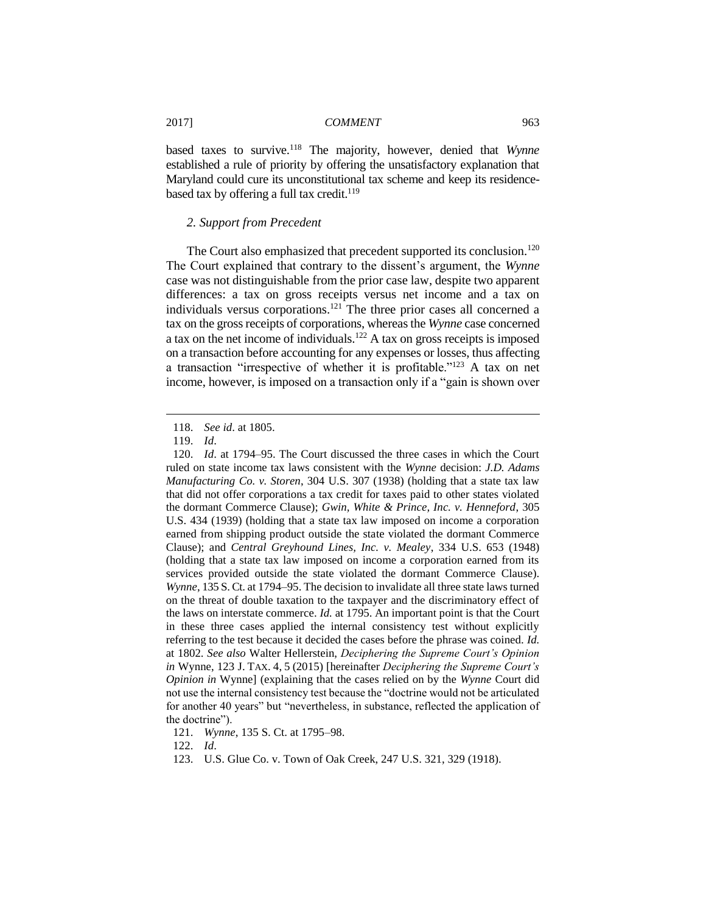based taxes to survive.<sup>118</sup> The majority, however, denied that *Wynne* established a rule of priority by offering the unsatisfactory explanation that Maryland could cure its unconstitutional tax scheme and keep its residencebased tax by offering a full tax credit. $119$ 

## *2. Support from Precedent*

The Court also emphasized that precedent supported its conclusion.<sup>120</sup> The Court explained that contrary to the dissent's argument, the *Wynne*  case was not distinguishable from the prior case law, despite two apparent differences: a tax on gross receipts versus net income and a tax on individuals versus corporations.<sup>121</sup> The three prior cases all concerned a tax on the gross receipts of corporations, whereas the *Wynne* case concerned a tax on the net income of individuals.<sup>122</sup> A tax on gross receipts is imposed on a transaction before accounting for any expenses or losses, thus affecting a transaction "irrespective of whether it is profitable."<sup>123</sup> A tax on net income, however, is imposed on a transaction only if a "gain is shown over

<sup>118.</sup> *See id*. at 1805.

<sup>119.</sup> *Id*.

<sup>120.</sup> *Id*. at 1794–95. The Court discussed the three cases in which the Court ruled on state income tax laws consistent with the *Wynne* decision: *J.D. Adams Manufacturing Co. v. Storen*, 304 U.S. 307 (1938) (holding that a state tax law that did not offer corporations a tax credit for taxes paid to other states violated the dormant Commerce Clause); *Gwin, White & Prince, Inc. v. Henneford*, 305 U.S. 434 (1939) (holding that a state tax law imposed on income a corporation earned from shipping product outside the state violated the dormant Commerce Clause); and *Central Greyhound Lines, Inc. v. Mealey*, 334 U.S. 653 (1948) (holding that a state tax law imposed on income a corporation earned from its services provided outside the state violated the dormant Commerce Clause). *Wynne*, 135 S. Ct. at 1794–95. The decision to invalidate all three state laws turned on the threat of double taxation to the taxpayer and the discriminatory effect of the laws on interstate commerce. *Id.* at 1795. An important point is that the Court in these three cases applied the internal consistency test without explicitly referring to the test because it decided the cases before the phrase was coined. *Id.* at 1802. *See also* Walter Hellerstein, *Deciphering the Supreme Court's Opinion in* Wynne, 123 J. TAX. 4, 5 (2015) [hereinafter *Deciphering the Supreme Court's Opinion in* Wynne] (explaining that the cases relied on by the *Wynne* Court did not use the internal consistency test because the "doctrine would not be articulated for another 40 years" but "nevertheless, in substance, reflected the application of the doctrine").

<sup>121.</sup> *Wynne*, 135 S. Ct. at 1795–98.

<sup>122.</sup> *Id*.

<sup>123.</sup> U.S. Glue Co. v. Town of Oak Creek, 247 U.S. 321, 329 (1918).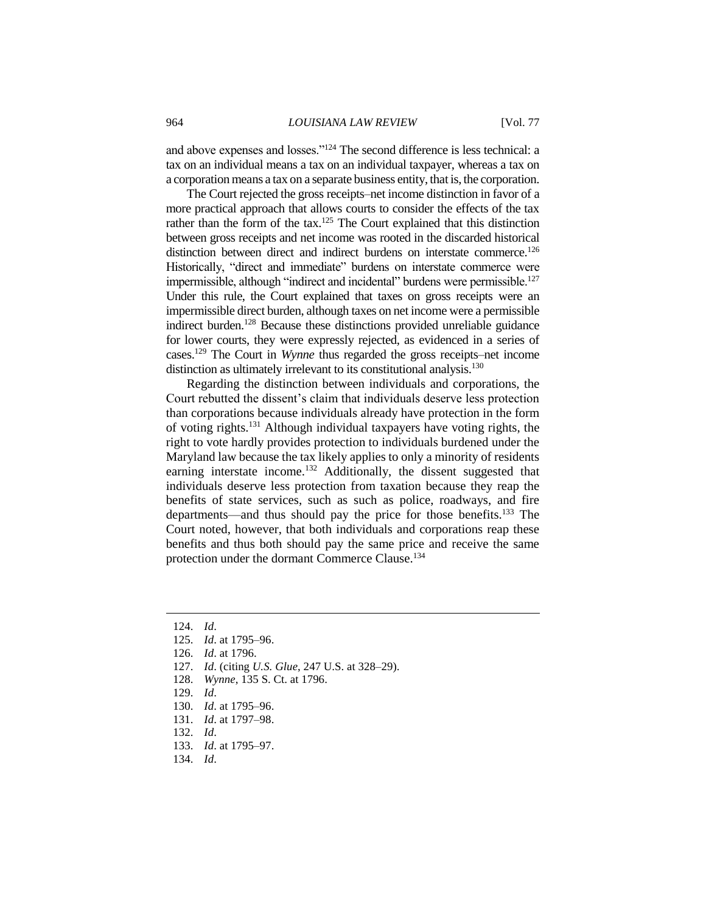and above expenses and losses."<sup>124</sup> The second difference is less technical: a tax on an individual means a tax on an individual taxpayer, whereas a tax on a corporation means a tax on a separate business entity, that is, the corporation.

The Court rejected the gross receipts–net income distinction in favor of a more practical approach that allows courts to consider the effects of the tax rather than the form of the tax.<sup>125</sup> The Court explained that this distinction between gross receipts and net income was rooted in the discarded historical distinction between direct and indirect burdens on interstate commerce.<sup>126</sup> Historically, "direct and immediate" burdens on interstate commerce were impermissible, although "indirect and incidental" burdens were permissible.<sup>127</sup> Under this rule, the Court explained that taxes on gross receipts were an impermissible direct burden, although taxes on net income were a permissible indirect burden.<sup>128</sup> Because these distinctions provided unreliable guidance for lower courts, they were expressly rejected, as evidenced in a series of cases.<sup>129</sup> The Court in *Wynne* thus regarded the gross receipts–net income distinction as ultimately irrelevant to its constitutional analysis.<sup>130</sup>

Regarding the distinction between individuals and corporations, the Court rebutted the dissent's claim that individuals deserve less protection than corporations because individuals already have protection in the form of voting rights.<sup>131</sup> Although individual taxpayers have voting rights, the right to vote hardly provides protection to individuals burdened under the Maryland law because the tax likely applies to only a minority of residents earning interstate income.<sup>132</sup> Additionally, the dissent suggested that individuals deserve less protection from taxation because they reap the benefits of state services, such as such as police, roadways, and fire departments—and thus should pay the price for those benefits.<sup>133</sup> The Court noted, however, that both individuals and corporations reap these benefits and thus both should pay the same price and receive the same protection under the dormant Commerce Clause.<sup>134</sup>

 $\overline{a}$ 

127. *Id*. (citing *U.S. Glue*, 247 U.S. at 328–29).

- 129. *Id*.
- 130. *Id*. at 1795–96.
- 131. *Id*. at 1797–98.
- 132. *Id*.
- 133. *Id*. at 1795–97.
- 134. *Id*.

<sup>124.</sup> *Id*.

<sup>125.</sup> *Id*. at 1795–96.

<sup>126.</sup> *Id*. at 1796.

<sup>128.</sup> *Wynne*, 135 S. Ct. at 1796.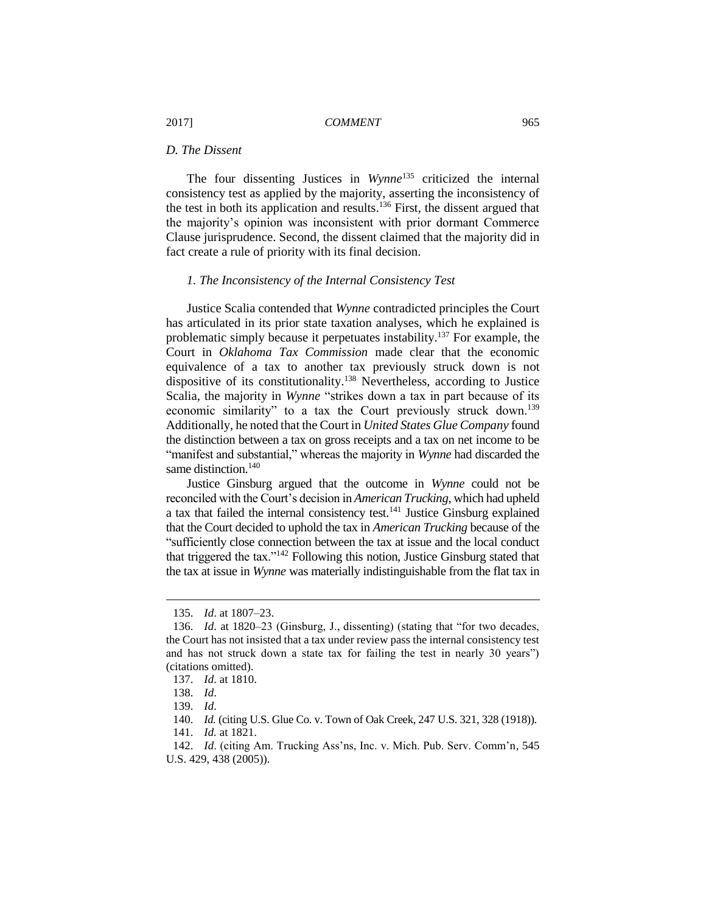## *D. The Dissent*

The four dissenting Justices in *Wynne*<sup>135</sup> criticized the internal consistency test as applied by the majority, asserting the inconsistency of the test in both its application and results. <sup>136</sup> First, the dissent argued that the majority's opinion was inconsistent with prior dormant Commerce Clause jurisprudence. Second, the dissent claimed that the majority did in fact create a rule of priority with its final decision.

## *1. The Inconsistency of the Internal Consistency Test*

Justice Scalia contended that *Wynne* contradicted principles the Court has articulated in its prior state taxation analyses, which he explained is problematic simply because it perpetuates instability.<sup>137</sup> For example, the Court in *Oklahoma Tax Commission* made clear that the economic equivalence of a tax to another tax previously struck down is not dispositive of its constitutionality.<sup>138</sup> Nevertheless, according to Justice Scalia, the majority in *Wynne* "strikes down a tax in part because of its economic similarity" to a tax the Court previously struck down.<sup>139</sup> Additionally, he noted that the Court in *United States Glue Company* found the distinction between a tax on gross receipts and a tax on net income to be "manifest and substantial," whereas the majority in *Wynne* had discarded the same distinction.<sup>140</sup>

Justice Ginsburg argued that the outcome in *Wynne* could not be reconciled with the Court's decision in *American Trucking*, which had upheld a tax that failed the internal consistency test.<sup>141</sup> Justice Ginsburg explained that the Court decided to uphold the tax in *American Trucking* because of the "sufficiently close connection between the tax at issue and the local conduct that triggered the tax."<sup>142</sup> Following this notion, Justice Ginsburg stated that the tax at issue in *Wynne* was materially indistinguishable from the flat tax in

<sup>135.</sup> *Id*. at 1807–23.

<sup>136.</sup> *Id*. at 1820–23 (Ginsburg, J., dissenting) (stating that "for two decades, the Court has not insisted that a tax under review pass the internal consistency test and has not struck down a state tax for failing the test in nearly 30 years") (citations omitted).

<sup>137.</sup> *Id*. at 1810.

<sup>138.</sup> *Id*.

<sup>139.</sup> *Id*.

<sup>140.</sup> *Id.* (citing U.S. Glue Co. v. Town of Oak Creek, 247 U.S. 321, 328 (1918)).

<sup>141.</sup> *Id.* at 1821.

<sup>142.</sup> *Id*. (citing Am. Trucking Ass'ns, Inc. v. Mich. Pub. Serv. Comm'n, 545 U.S. 429, 438 (2005)).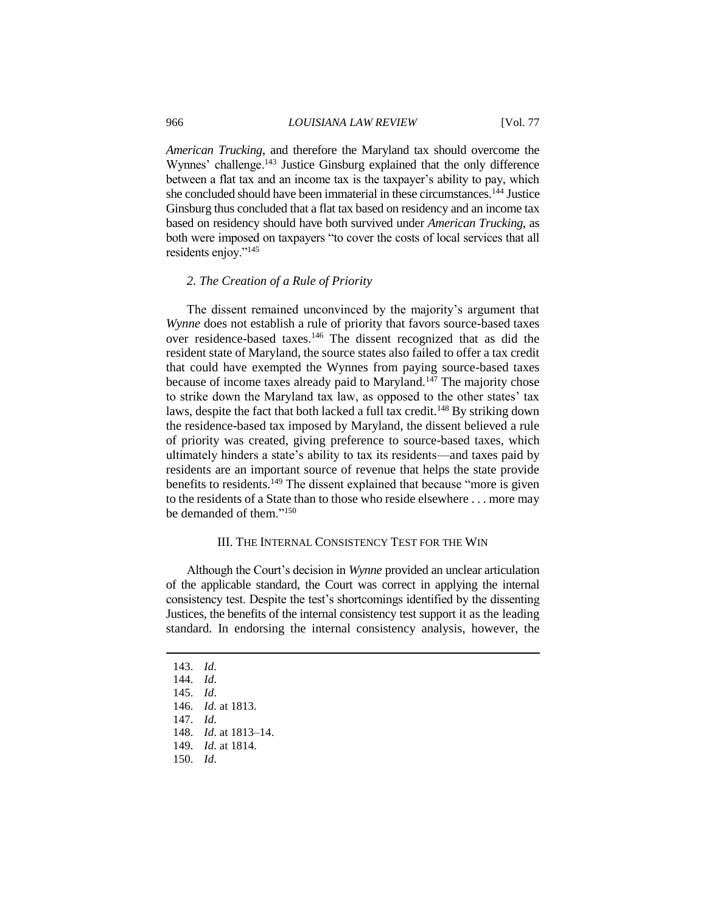## 966 *LOUISIANA LAW REVIEW* [Vol. 77

*American Trucking*, and therefore the Maryland tax should overcome the Wynnes' challenge.<sup>143</sup> Justice Ginsburg explained that the only difference between a flat tax and an income tax is the taxpayer's ability to pay, which she concluded should have been immaterial in these circumstances.<sup>144</sup> Justice Ginsburg thus concluded that a flat tax based on residency and an income tax based on residency should have both survived under *American Trucking*, as both were imposed on taxpayers "to cover the costs of local services that all residents enjoy."<sup>145</sup>

## *2. The Creation of a Rule of Priority*

The dissent remained unconvinced by the majority's argument that *Wynne* does not establish a rule of priority that favors source-based taxes over residence-based taxes.<sup>146</sup> The dissent recognized that as did the resident state of Maryland, the source states also failed to offer a tax credit that could have exempted the Wynnes from paying source-based taxes because of income taxes already paid to Maryland.<sup>147</sup> The majority chose to strike down the Maryland tax law, as opposed to the other states' tax laws, despite the fact that both lacked a full tax credit.<sup>148</sup> By striking down the residence-based tax imposed by Maryland, the dissent believed a rule of priority was created, giving preference to source-based taxes, which ultimately hinders a state's ability to tax its residents—and taxes paid by residents are an important source of revenue that helps the state provide benefits to residents.<sup>149</sup> The dissent explained that because "more is given to the residents of a State than to those who reside elsewhere . . . more may be demanded of them."<sup>150</sup>

## III. THE INTERNAL CONSISTENCY TEST FOR THE WIN

Although the Court's decision in *Wynne* provided an unclear articulation of the applicable standard, the Court was correct in applying the internal consistency test. Despite the test's shortcomings identified by the dissenting Justices, the benefits of the internal consistency test support it as the leading standard. In endorsing the internal consistency analysis, however, the

<sup>143.</sup> *Id*.

<sup>144.</sup> *Id*.

<sup>145.</sup> *Id*.

<sup>146.</sup> *Id*. at 1813.

<sup>147.</sup> *Id*.

<sup>148.</sup> *Id*. at 1813–14.

<sup>149.</sup> *Id*. at 1814.

<sup>150.</sup> *Id*.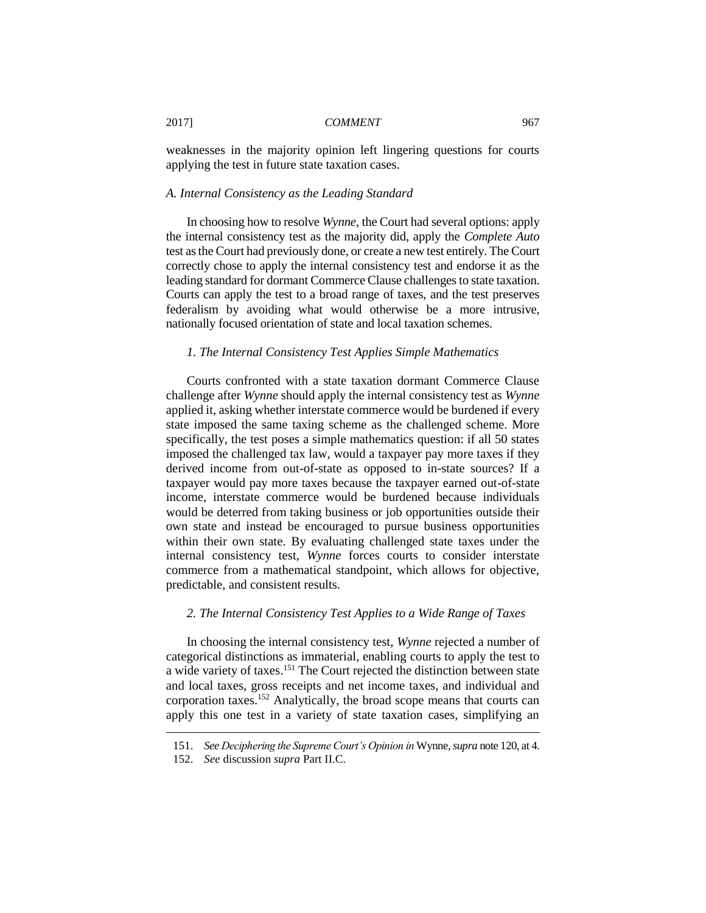weaknesses in the majority opinion left lingering questions for courts applying the test in future state taxation cases.

#### *A. Internal Consistency as the Leading Standard*

In choosing how to resolve *Wynne*, the Court had several options: apply the internal consistency test as the majority did, apply the *Complete Auto* test as the Court had previously done, or create a new test entirely. The Court correctly chose to apply the internal consistency test and endorse it as the leading standard for dormant Commerce Clause challenges to state taxation. Courts can apply the test to a broad range of taxes, and the test preserves federalism by avoiding what would otherwise be a more intrusive, nationally focused orientation of state and local taxation schemes.

#### *1. The Internal Consistency Test Applies Simple Mathematics*

Courts confronted with a state taxation dormant Commerce Clause challenge after *Wynne* should apply the internal consistency test as *Wynne* applied it, asking whether interstate commerce would be burdened if every state imposed the same taxing scheme as the challenged scheme. More specifically, the test poses a simple mathematics question: if all 50 states imposed the challenged tax law, would a taxpayer pay more taxes if they derived income from out-of-state as opposed to in-state sources? If a taxpayer would pay more taxes because the taxpayer earned out-of-state income, interstate commerce would be burdened because individuals would be deterred from taking business or job opportunities outside their own state and instead be encouraged to pursue business opportunities within their own state. By evaluating challenged state taxes under the internal consistency test, *Wynne* forces courts to consider interstate commerce from a mathematical standpoint, which allows for objective, predictable, and consistent results.

#### *2. The Internal Consistency Test Applies to a Wide Range of Taxes*

In choosing the internal consistency test, *Wynne* rejected a number of categorical distinctions as immaterial, enabling courts to apply the test to a wide variety of taxes.<sup>151</sup> The Court rejected the distinction between state and local taxes, gross receipts and net income taxes, and individual and corporation taxes.<sup>152</sup> Analytically, the broad scope means that courts can apply this one test in a variety of state taxation cases, simplifying an

<sup>151.</sup> *See Deciphering the Supreme Court's Opinion in* Wynne, *supra* note 120, at 4.

<sup>152.</sup> *See* discussion *supra* Part II.C.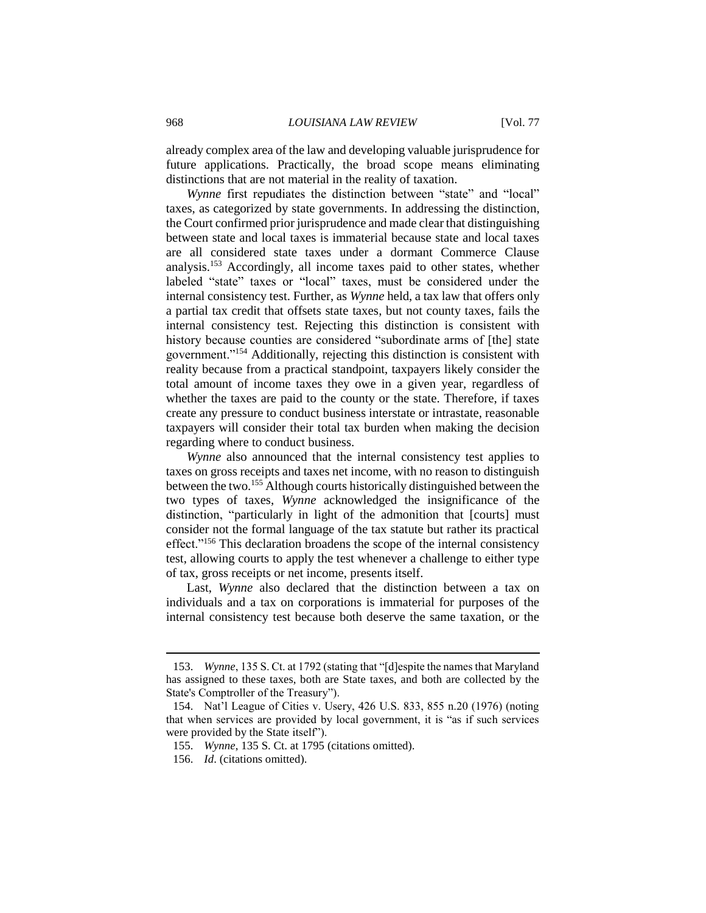already complex area of the law and developing valuable jurisprudence for future applications. Practically, the broad scope means eliminating distinctions that are not material in the reality of taxation.

*Wynne* first repudiates the distinction between "state" and "local" taxes, as categorized by state governments. In addressing the distinction, the Court confirmed prior jurisprudence and made clear that distinguishing between state and local taxes is immaterial because state and local taxes are all considered state taxes under a dormant Commerce Clause analysis.<sup>153</sup> Accordingly, all income taxes paid to other states, whether labeled "state" taxes or "local" taxes, must be considered under the internal consistency test. Further, as *Wynne* held, a tax law that offers only a partial tax credit that offsets state taxes, but not county taxes, fails the internal consistency test. Rejecting this distinction is consistent with history because counties are considered "subordinate arms of [the] state government."<sup>154</sup> Additionally, rejecting this distinction is consistent with reality because from a practical standpoint, taxpayers likely consider the total amount of income taxes they owe in a given year, regardless of whether the taxes are paid to the county or the state. Therefore, if taxes create any pressure to conduct business interstate or intrastate, reasonable taxpayers will consider their total tax burden when making the decision regarding where to conduct business.

*Wynne* also announced that the internal consistency test applies to taxes on gross receipts and taxes net income, with no reason to distinguish between the two.<sup>155</sup> Although courts historically distinguished between the two types of taxes, *Wynne* acknowledged the insignificance of the distinction, "particularly in light of the admonition that [courts] must consider not the formal language of the tax statute but rather its practical effect."<sup>156</sup> This declaration broadens the scope of the internal consistency test, allowing courts to apply the test whenever a challenge to either type of tax, gross receipts or net income, presents itself.

Last, *Wynne* also declared that the distinction between a tax on individuals and a tax on corporations is immaterial for purposes of the internal consistency test because both deserve the same taxation, or the

<sup>153.</sup> *Wynne*, 135 S. Ct. at 1792 (stating that "[d]espite the names that Maryland has assigned to these taxes, both are State taxes, and both are collected by the State's Comptroller of the Treasury").

<sup>154.</sup> Nat'l League of Cities v. Usery, 426 U.S. 833, 855 n.20 (1976) (noting that when services are provided by local government, it is "as if such services were provided by the State itself").

<sup>155.</sup> *Wynne*, 135 S. Ct. at 1795 (citations omitted).

<sup>156.</sup> *Id*. (citations omitted).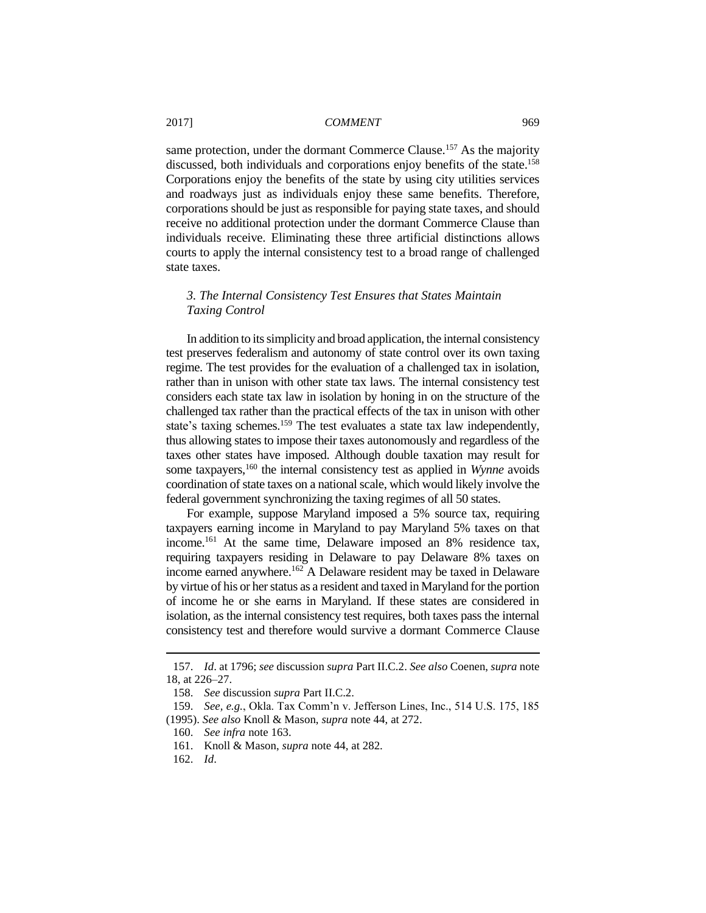same protection, under the dormant Commerce Clause.<sup>157</sup> As the majority discussed, both individuals and corporations enjoy benefits of the state.<sup>158</sup> Corporations enjoy the benefits of the state by using city utilities services and roadways just as individuals enjoy these same benefits. Therefore, corporations should be just as responsible for paying state taxes, and should receive no additional protection under the dormant Commerce Clause than individuals receive. Eliminating these three artificial distinctions allows courts to apply the internal consistency test to a broad range of challenged state taxes.

## *3. The Internal Consistency Test Ensures that States Maintain Taxing Control*

In addition to its simplicity and broad application, the internal consistency test preserves federalism and autonomy of state control over its own taxing regime. The test provides for the evaluation of a challenged tax in isolation, rather than in unison with other state tax laws. The internal consistency test considers each state tax law in isolation by honing in on the structure of the challenged tax rather than the practical effects of the tax in unison with other state's taxing schemes.<sup>159</sup> The test evaluates a state tax law independently, thus allowing states to impose their taxes autonomously and regardless of the taxes other states have imposed. Although double taxation may result for some taxpayers,<sup>160</sup> the internal consistency test as applied in *Wynne* avoids coordination of state taxes on a national scale, which would likely involve the federal government synchronizing the taxing regimes of all 50 states.

For example, suppose Maryland imposed a 5% source tax, requiring taxpayers earning income in Maryland to pay Maryland 5% taxes on that income.<sup>161</sup> At the same time, Delaware imposed an 8% residence tax, requiring taxpayers residing in Delaware to pay Delaware 8% taxes on income earned anywhere.<sup>162</sup> A Delaware resident may be taxed in Delaware by virtue of his or her status as a resident and taxed in Maryland for the portion of income he or she earns in Maryland. If these states are considered in isolation, as the internal consistency test requires, both taxes pass the internal consistency test and therefore would survive a dormant Commerce Clause

<sup>157.</sup> *Id*. at 1796; *see* discussion *supra* Part II.C.2. *See also* Coenen, *supra* note 18, at 226–27.

<sup>158.</sup> *See* discussion *supra* Part II.C.2.

<sup>159.</sup> *See, e.g.*, Okla. Tax Comm'n v. Jefferson Lines, Inc., 514 U.S. 175, 185 (1995). *See also* Knoll & Mason, *supra* note 44, at 272.

<sup>160.</sup> *See infra* note 163.

<sup>161.</sup> Knoll & Mason, *supra* note 44, at 282.

<sup>162.</sup> *Id*.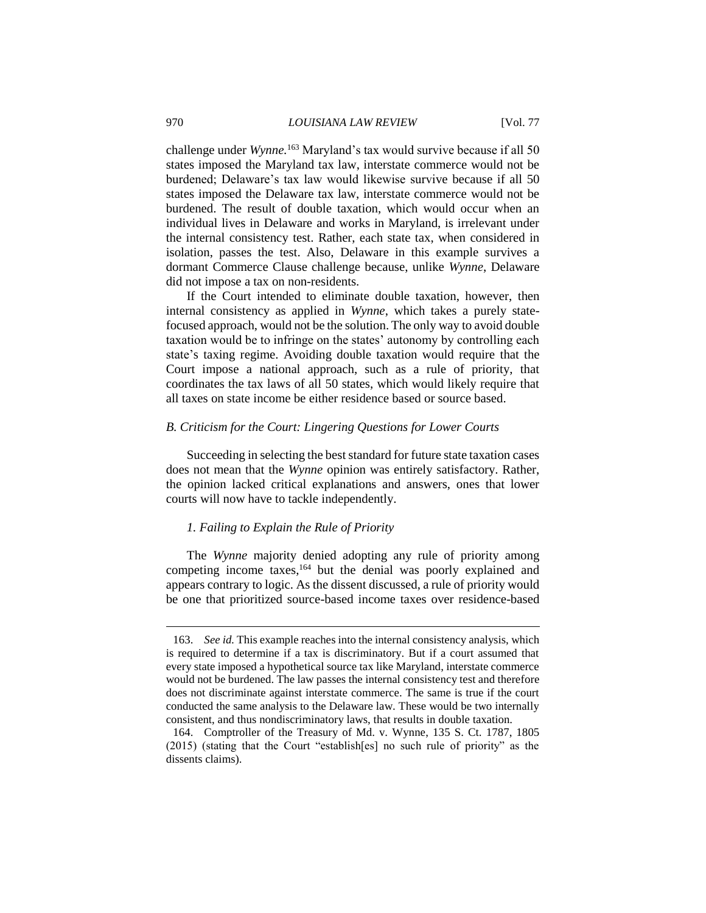challenge under *Wynne.*<sup>163</sup> Maryland's tax would survive because if all 50 states imposed the Maryland tax law, interstate commerce would not be burdened; Delaware's tax law would likewise survive because if all 50 states imposed the Delaware tax law, interstate commerce would not be burdened. The result of double taxation, which would occur when an individual lives in Delaware and works in Maryland, is irrelevant under the internal consistency test. Rather, each state tax, when considered in isolation, passes the test. Also, Delaware in this example survives a dormant Commerce Clause challenge because, unlike *Wynne*, Delaware did not impose a tax on non-residents.

If the Court intended to eliminate double taxation, however, then internal consistency as applied in *Wynne*, which takes a purely statefocused approach, would not be the solution. The only way to avoid double taxation would be to infringe on the states' autonomy by controlling each state's taxing regime. Avoiding double taxation would require that the Court impose a national approach, such as a rule of priority, that coordinates the tax laws of all 50 states, which would likely require that all taxes on state income be either residence based or source based.

## *B. Criticism for the Court: Lingering Questions for Lower Courts*

Succeeding in selecting the best standard for future state taxation cases does not mean that the *Wynne* opinion was entirely satisfactory. Rather, the opinion lacked critical explanations and answers, ones that lower courts will now have to tackle independently.

## *1. Failing to Explain the Rule of Priority*

The *Wynne* majority denied adopting any rule of priority among competing income taxes,<sup>164</sup> but the denial was poorly explained and appears contrary to logic. As the dissent discussed, a rule of priority would be one that prioritized source-based income taxes over residence-based

<sup>163.</sup> *See id.* This example reaches into the internal consistency analysis, which is required to determine if a tax is discriminatory. But if a court assumed that every state imposed a hypothetical source tax like Maryland, interstate commerce would not be burdened. The law passes the internal consistency test and therefore does not discriminate against interstate commerce. The same is true if the court conducted the same analysis to the Delaware law. These would be two internally consistent, and thus nondiscriminatory laws, that results in double taxation.

<sup>164.</sup> Comptroller of the Treasury of Md. v. Wynne, 135 S. Ct. 1787, 1805 (2015) (stating that the Court "establish[es] no such rule of priority" as the dissents claims).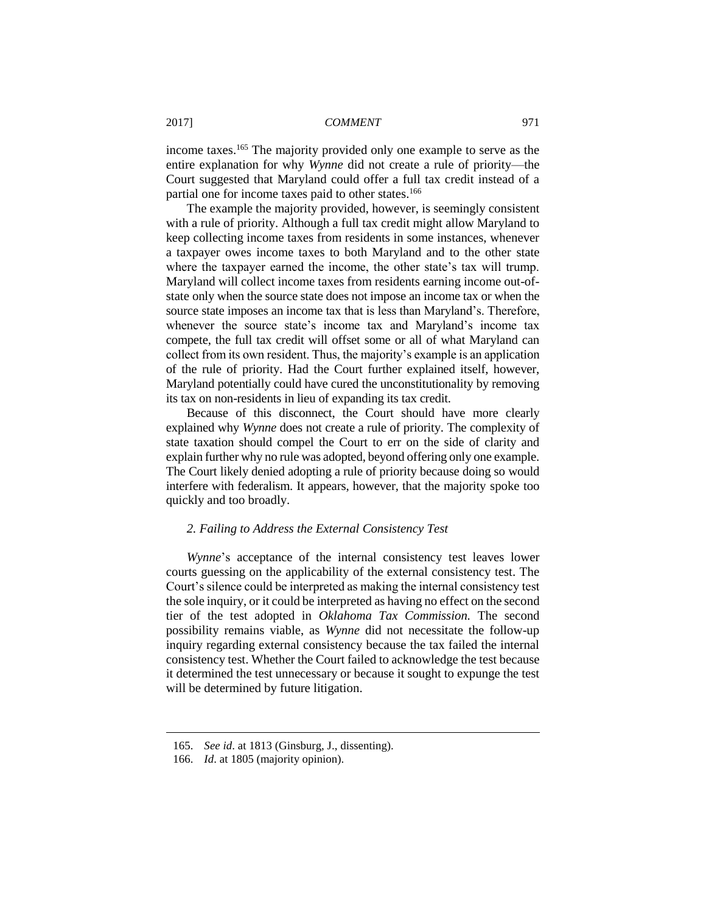income taxes.<sup>165</sup> The majority provided only one example to serve as the entire explanation for why *Wynne* did not create a rule of priority—the Court suggested that Maryland could offer a full tax credit instead of a partial one for income taxes paid to other states.<sup>166</sup>

The example the majority provided, however, is seemingly consistent with a rule of priority. Although a full tax credit might allow Maryland to keep collecting income taxes from residents in some instances, whenever a taxpayer owes income taxes to both Maryland and to the other state where the taxpayer earned the income, the other state's tax will trump. Maryland will collect income taxes from residents earning income out-ofstate only when the source state does not impose an income tax or when the source state imposes an income tax that is less than Maryland's. Therefore, whenever the source state's income tax and Maryland's income tax compete, the full tax credit will offset some or all of what Maryland can collect from its own resident. Thus, the majority's example is an application of the rule of priority. Had the Court further explained itself, however, Maryland potentially could have cured the unconstitutionality by removing its tax on non-residents in lieu of expanding its tax credit.

Because of this disconnect, the Court should have more clearly explained why *Wynne* does not create a rule of priority. The complexity of state taxation should compel the Court to err on the side of clarity and explain further why no rule was adopted, beyond offering only one example. The Court likely denied adopting a rule of priority because doing so would interfere with federalism. It appears, however, that the majority spoke too quickly and too broadly.

#### *2. Failing to Address the External Consistency Test*

*Wynne*'s acceptance of the internal consistency test leaves lower courts guessing on the applicability of the external consistency test. The Court's silence could be interpreted as making the internal consistency test the sole inquiry, or it could be interpreted as having no effect on the second tier of the test adopted in *Oklahoma Tax Commission.* The second possibility remains viable, as *Wynne* did not necessitate the follow-up inquiry regarding external consistency because the tax failed the internal consistency test. Whether the Court failed to acknowledge the test because it determined the test unnecessary or because it sought to expunge the test will be determined by future litigation.

<sup>165.</sup> *See id*. at 1813 (Ginsburg, J., dissenting).

<sup>166.</sup> *Id*. at 1805 (majority opinion).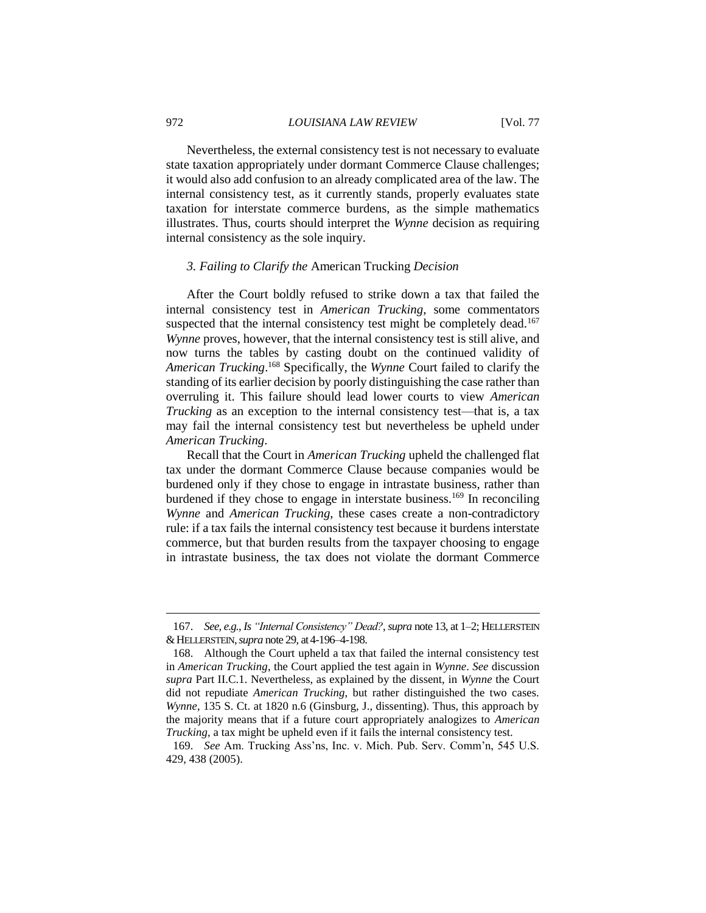Nevertheless, the external consistency test is not necessary to evaluate state taxation appropriately under dormant Commerce Clause challenges; it would also add confusion to an already complicated area of the law. The internal consistency test, as it currently stands, properly evaluates state taxation for interstate commerce burdens, as the simple mathematics illustrates. Thus, courts should interpret the *Wynne* decision as requiring internal consistency as the sole inquiry.

## *3. Failing to Clarify the* American Trucking *Decision*

After the Court boldly refused to strike down a tax that failed the internal consistency test in *American Trucking*, some commentators suspected that the internal consistency test might be completely dead.<sup>167</sup> *Wynne* proves, however, that the internal consistency test is still alive, and now turns the tables by casting doubt on the continued validity of *American Trucking*. <sup>168</sup> Specifically, the *Wynne* Court failed to clarify the standing of its earlier decision by poorly distinguishing the case rather than overruling it. This failure should lead lower courts to view *American Trucking* as an exception to the internal consistency test—that is, a tax may fail the internal consistency test but nevertheless be upheld under *American Trucking*.

Recall that the Court in *American Trucking* upheld the challenged flat tax under the dormant Commerce Clause because companies would be burdened only if they chose to engage in intrastate business, rather than burdened if they chose to engage in interstate business.<sup>169</sup> In reconciling *Wynne* and *American Trucking*, these cases create a non-contradictory rule: if a tax fails the internal consistency test because it burdens interstate commerce, but that burden results from the taxpayer choosing to engage in intrastate business, the tax does not violate the dormant Commerce

<sup>167.</sup> *See, e.g.*, *Is "Internal Consistency" Dead?*, *supra* note 13, at 1–2; HELLERSTEIN &HELLERSTEIN,*supra* note 29, at4-196–4-198.

<sup>168.</sup> Although the Court upheld a tax that failed the internal consistency test in *American Trucking*, the Court applied the test again in *Wynne*. *See* discussion *supra* Part II.C.1. Nevertheless, as explained by the dissent, in *Wynne* the Court did not repudiate *American Trucking*, but rather distinguished the two cases. *Wynne*, 135 S. Ct. at 1820 n.6 (Ginsburg, J., dissenting). Thus, this approach by the majority means that if a future court appropriately analogizes to *American Trucking*, a tax might be upheld even if it fails the internal consistency test.

<sup>169.</sup> *See* Am. Trucking Ass'ns, Inc. v. Mich. Pub. Serv. Comm'n, 545 U.S. 429, 438 (2005).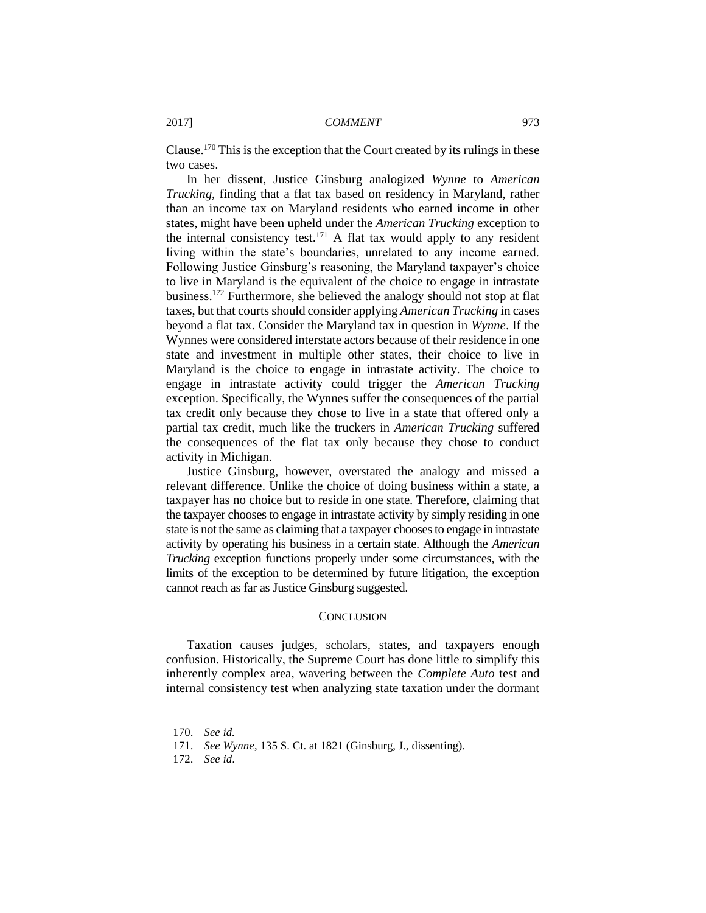Clause.<sup>170</sup> This is the exception that the Court created by its rulings in these two cases.

In her dissent, Justice Ginsburg analogized *Wynne* to *American Trucking*, finding that a flat tax based on residency in Maryland, rather than an income tax on Maryland residents who earned income in other states, might have been upheld under the *American Trucking* exception to the internal consistency test.<sup>171</sup> A flat tax would apply to any resident living within the state's boundaries, unrelated to any income earned. Following Justice Ginsburg's reasoning, the Maryland taxpayer's choice to live in Maryland is the equivalent of the choice to engage in intrastate business.<sup>172</sup> Furthermore, she believed the analogy should not stop at flat taxes, but that courts should consider applying *American Trucking* in cases beyond a flat tax. Consider the Maryland tax in question in *Wynne*. If the Wynnes were considered interstate actors because of their residence in one state and investment in multiple other states, their choice to live in Maryland is the choice to engage in intrastate activity. The choice to engage in intrastate activity could trigger the *American Trucking*  exception. Specifically, the Wynnes suffer the consequences of the partial tax credit only because they chose to live in a state that offered only a partial tax credit, much like the truckers in *American Trucking* suffered the consequences of the flat tax only because they chose to conduct activity in Michigan.

Justice Ginsburg, however, overstated the analogy and missed a relevant difference. Unlike the choice of doing business within a state, a taxpayer has no choice but to reside in one state. Therefore, claiming that the taxpayer chooses to engage in intrastate activity by simply residing in one state is not the same as claiming that a taxpayer chooses to engage in intrastate activity by operating his business in a certain state. Although the *American Trucking* exception functions properly under some circumstances, with the limits of the exception to be determined by future litigation, the exception cannot reach as far as Justice Ginsburg suggested.

#### **CONCLUSION**

Taxation causes judges, scholars, states, and taxpayers enough confusion. Historically, the Supreme Court has done little to simplify this inherently complex area, wavering between the *Complete Auto* test and internal consistency test when analyzing state taxation under the dormant

<sup>170.</sup> *See id.*

<sup>171.</sup> *See Wynne*, 135 S. Ct. at 1821 (Ginsburg, J., dissenting).

<sup>172.</sup> *See id*.